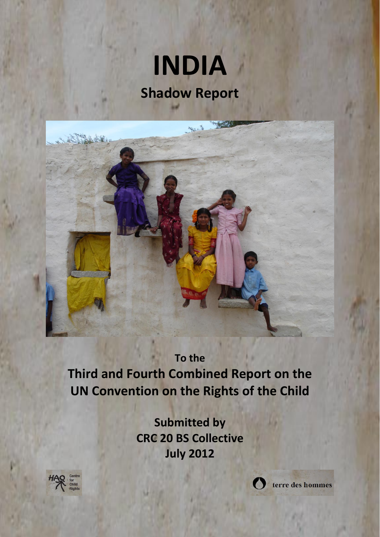# **INDIA Shadow Report**



# **To the**

**Third and Fourth Combined Report on the UN Convention on the Rights of the Child**

> **Submitted by CRC 20 BS Collective July 2012**





terre des hommes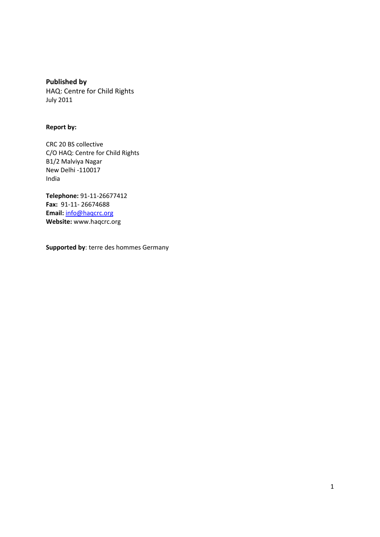**Published by** HAQ: Centre for Child Rights July 2011

#### **Report by:**

CRC 20 BS collective C/O HAQ: Centre for Child Rights B1/2 Malviya Nagar New Delhi -110017 India

**Telephone:** 91-11-26677412 **Fax:** 91-11- 26674688 **Email:** [info@haqcrc.org](mailto:info@haqcrc.org) **Website:** www.haqcrc.org

**Supported by**: terre des hommes Germany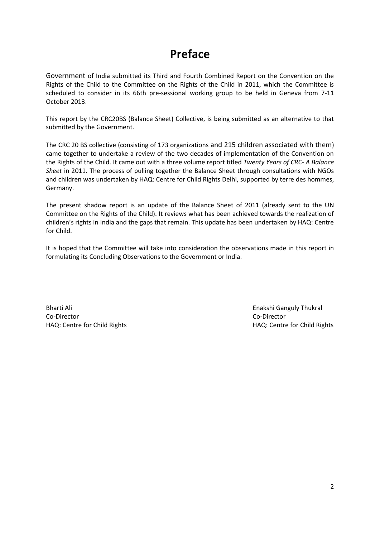# **Preface**

Government of India submitted its Third and Fourth Combined Report on the Convention on the Rights of the Child to the Committee on the Rights of the Child in 2011, which the Committee is scheduled to consider in its 66th pre-sessional working group to be held in Geneva from 7-11 October 2013.

This report by the CRC20BS (Balance Sheet) Collective, is being submitted as an alternative to that submitted by the Government.

The CRC 20 BS collective (consisting of 173 organizations and 215 children associated with them) came together to undertake a review of the two decades of implementation of the Convention on the Rights of the Child. It came out with a three volume report titled *Twenty Years of CRC- A Balance Sheet* in 2011*.* The process of pulling together the Balance Sheet through consultations with NGOs and children was undertaken by HAQ: Centre for Child Rights Delhi, supported by terre des hommes, Germany.

The present shadow report is an update of the Balance Sheet of 2011 (already sent to the UN Committee on the Rights of the Child). It reviews what has been achieved towards the realization of children's rights in India and the gaps that remain. This update has been undertaken by HAQ: Centre for Child.

It is hoped that the Committee will take into consideration the observations made in this report in formulating its Concluding Observations to the Government or India.

Bharti Ali **Enakshi Ganguly Thukral** Co-Director Co-Director

HAQ: Centre for Child Rights HAQ: Centre for Child Rights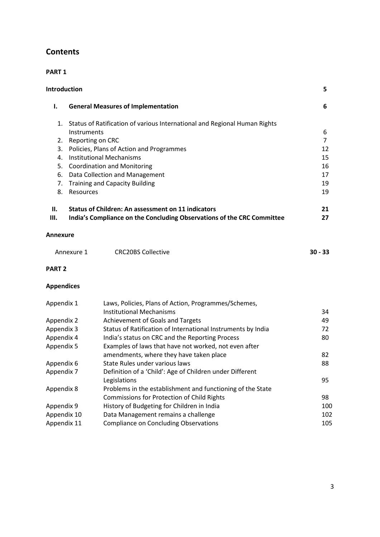# **Contents**

## **PART 1**

| Introduction<br>5                            |                                                                                                                                                                                                                                                                                                                           |                                                                                                  |                                                         |
|----------------------------------------------|---------------------------------------------------------------------------------------------------------------------------------------------------------------------------------------------------------------------------------------------------------------------------------------------------------------------------|--------------------------------------------------------------------------------------------------|---------------------------------------------------------|
| ı.                                           | <b>General Measures of Implementation</b><br>6                                                                                                                                                                                                                                                                            |                                                                                                  |                                                         |
| 1.<br>2.<br>3.<br>4.<br>5.<br>6.<br>7.<br>8. | Status of Ratification of various International and Regional Human Rights<br>Instruments<br>Reporting on CRC<br>Policies, Plans of Action and Programmes<br><b>Institutional Mechanisms</b><br><b>Coordination and Monitoring</b><br>Data Collection and Management<br><b>Training and Capacity Building</b><br>Resources |                                                                                                  | 6<br>$\overline{7}$<br>12<br>15<br>16<br>17<br>19<br>19 |
| II.                                          |                                                                                                                                                                                                                                                                                                                           | <b>Status of Children: An assessment on 11 indicators</b>                                        | 21                                                      |
| Ш.                                           |                                                                                                                                                                                                                                                                                                                           | India's Compliance on the Concluding Observations of the CRC Committee                           | 27                                                      |
| <b>Annexure</b>                              |                                                                                                                                                                                                                                                                                                                           |                                                                                                  |                                                         |
|                                              | Annexure 1                                                                                                                                                                                                                                                                                                                | <b>CRC20BS Collective</b>                                                                        | $30 - 33$                                               |
| <b>PART 2</b>                                |                                                                                                                                                                                                                                                                                                                           |                                                                                                  |                                                         |
| <b>Appendices</b>                            |                                                                                                                                                                                                                                                                                                                           |                                                                                                  |                                                         |
| Appendix 1                                   |                                                                                                                                                                                                                                                                                                                           | Laws, Policies, Plans of Action, Programmes/Schemes,                                             |                                                         |
|                                              |                                                                                                                                                                                                                                                                                                                           | <b>Institutional Mechanisms</b>                                                                  | 34                                                      |
| Appendix 2                                   |                                                                                                                                                                                                                                                                                                                           | Achievement of Goals and Targets                                                                 | 49                                                      |
| Appendix 3                                   |                                                                                                                                                                                                                                                                                                                           | Status of Ratification of International Instruments by India                                     | 72                                                      |
| Appendix 4                                   |                                                                                                                                                                                                                                                                                                                           | India's status on CRC and the Reporting Process                                                  | 80                                                      |
| Appendix 5                                   |                                                                                                                                                                                                                                                                                                                           | Examples of laws that have not worked, not even after<br>amendments, where they have taken place | 82                                                      |
|                                              |                                                                                                                                                                                                                                                                                                                           | State Rules under various laws                                                                   | 88                                                      |
| Appendix 6<br>Appendix 7                     |                                                                                                                                                                                                                                                                                                                           | Definition of a 'Child': Age of Children under Different                                         |                                                         |
|                                              |                                                                                                                                                                                                                                                                                                                           | Legislations                                                                                     | 95                                                      |
| Appendix 8                                   |                                                                                                                                                                                                                                                                                                                           | Problems in the establishment and functioning of the State                                       |                                                         |
|                                              |                                                                                                                                                                                                                                                                                                                           | <b>Commissions for Protection of Child Rights</b>                                                | 98                                                      |
| Appendix 9                                   |                                                                                                                                                                                                                                                                                                                           | History of Budgeting for Children in India                                                       | 100                                                     |
| Appendix 10                                  |                                                                                                                                                                                                                                                                                                                           | Data Management remains a challenge                                                              | 102                                                     |
| Appendix 11                                  |                                                                                                                                                                                                                                                                                                                           | <b>Compliance on Concluding Observations</b>                                                     | 105                                                     |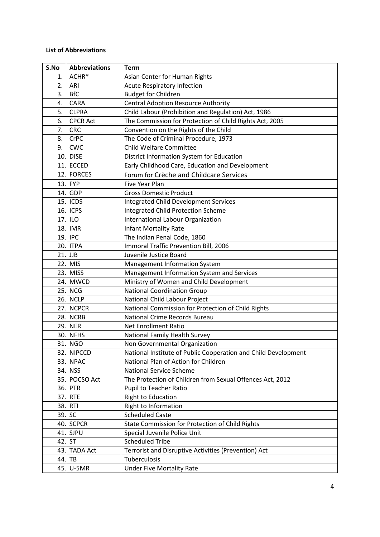#### **List of Abbreviations**

| S.No | <b>Abbreviations</b> | <b>Term</b>                                                    |
|------|----------------------|----------------------------------------------------------------|
| 1.   | ACHR*                | Asian Center for Human Rights                                  |
| 2.   | ARI                  | <b>Acute Respiratory Infection</b>                             |
| 3.   | <b>BfC</b>           | <b>Budget for Children</b>                                     |
| 4.   | <b>CARA</b>          | <b>Central Adoption Resource Authority</b>                     |
| 5.   | <b>CLPRA</b>         | Child Labour (Prohibition and Regulation) Act, 1986            |
| 6.   | <b>CPCR Act</b>      | The Commission for Protection of Child Rights Act, 2005        |
| 7.   | <b>CRC</b>           | Convention on the Rights of the Child                          |
| 8.   | <b>CrPC</b>          | The Code of Criminal Procedure, 1973                           |
| 9.   | CWC                  | <b>Child Welfare Committee</b>                                 |
| 10.  | <b>DISE</b>          | District Information System for Education                      |
| 11.  | <b>ECCED</b>         | Early Childhood Care, Education and Development                |
| 12.  | <b>FORCES</b>        | Forum for Crèche and Childcare Services                        |
|      | 13. FYP              | Five Year Plan                                                 |
| 14.  | GDP                  | <b>Gross Domestic Product</b>                                  |
|      | 15. ICDS             | <b>Integrated Child Development Services</b>                   |
| 16.  | <b>ICPS</b>          | <b>Integrated Child Protection Scheme</b>                      |
| 17.  | <b>ILO</b>           | International Labour Organization                              |
|      | 18. IMR              | <b>Infant Mortality Rate</b>                                   |
|      | 19. IPC              | The Indian Penal Code, 1860                                    |
| 20.  | <b>ITPA</b>          | Immoral Traffic Prevention Bill, 2006                          |
| 21.  | <b>JJB</b>           | Juvenile Justice Board                                         |
| 22.  | <b>MIS</b>           | Management Information System                                  |
| 23.  | <b>MISS</b>          | Management Information System and Services                     |
|      | 24. MWCD             | Ministry of Women and Child Development                        |
| 25.  | <b>NCG</b>           | <b>National Coordination Group</b>                             |
| 26.  | <b>NCLP</b>          | National Child Labour Project                                  |
| 27.  | <b>NCPCR</b>         | National Commission for Protection of Child Rights             |
| 28.  | <b>NCRB</b>          | National Crime Records Bureau                                  |
| 29.  | <b>NER</b>           | <b>Net Enrollment Ratio</b>                                    |
| 30.  | <b>NFHS</b>          | National Family Health Survey                                  |
| 31.  | <b>NGO</b>           | Non Governmental Organization                                  |
| 32.  | <b>NIPCCD</b>        | National Institute of Public Cooperation and Child Development |
| 33.  | <b>NPAC</b>          | National Plan of Action for Children                           |
|      | 34. NSS              | <b>National Service Scheme</b>                                 |
|      | 35. POCSO Act        | The Protection of Children from Sexual Offences Act, 2012      |
| 36.  | <b>PTR</b>           | Pupil to Teacher Ratio                                         |
| 37.  | <b>RTE</b>           | <b>Right to Education</b>                                      |
| 38.  | <b>RTI</b>           | Right to Information                                           |
|      | 39. SC               | <b>Scheduled Caste</b>                                         |
|      | 40. SCPCR            | State Commission for Protection of Child Rights                |
| 41.  | SJPU                 | Special Juvenile Police Unit                                   |
| 42.  | <b>ST</b>            | <b>Scheduled Tribe</b>                                         |
| 43.  | <b>TADA Act</b>      | Terrorist and Disruptive Activities (Prevention) Act           |
| 44.  | TB                   | Tuberculosis                                                   |
| 45.  | U-5MR                | <b>Under Five Mortality Rate</b>                               |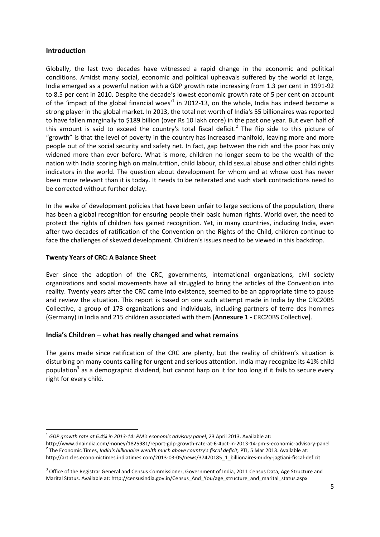#### **Introduction**

Globally, the last two decades have witnessed a rapid change in the economic and political conditions. Amidst many social, economic and political upheavals suffered by the world at large, India emerged as a powerful nation with a GDP growth rate increasing from 1.3 per cent in 1991-92 to 8.5 per cent in 2010. Despite the decade's lowest economic growth rate of 5 per cent on account of the 'impact of the global financial woes<sup> $1$ </sup> in 2012-13, on the whole, India has indeed become a strong player in the global market. In 2013, the total net worth of India's 55 billionaires was reported to have fallen marginally to \$189 billion (over Rs 10 lakh crore) in the past one year. But even half of this amount is said to exceed the country's total fiscal deficit.<sup>2</sup> The flip side to this picture of "growth" is that the level of poverty in the country has increased manifold, leaving more and more people out of the social security and safety net. In fact, gap between the rich and the poor has only widened more than ever before. What is more, children no longer seem to be the wealth of the nation with India scoring high on malnutrition, child labour, child sexual abuse and other child rights indicators in the world. The question about development for whom and at whose cost has never been more relevant than it is today. It needs to be reiterated and such stark contradictions need to be corrected without further delay.

In the wake of development policies that have been unfair to large sections of the population, there has been a global recognition for ensuring people their basic human rights. World over, the need to protect the rights of children has gained recognition. Yet, in many countries, including India, even after two decades of ratification of the Convention on the Rights of the Child, children continue to face the challenges of skewed development. Children's issues need to be viewed in this backdrop.

#### **Twenty Years of CRC: A Balance Sheet**

**.** 

Ever since the adoption of the CRC, governments, international organizations, civil society organizations and social movements have all struggled to bring the articles of the Convention into reality. Twenty years after the CRC came into existence, seemed to be an appropriate time to pause and review the situation. This report is based on one such attempt made in India by the CRC20BS Collective, a group of 173 organizations and individuals, including partners of terre des hommes (Germany) in India and 215 children associated with them [**Annexure 1 -** CRC20BS Collective].

#### **India's Children – what has really changed and what remains**

The gains made since ratification of the CRC are plenty, but the reality of children's situation is disturbing on many counts calling for urgent and serious attention. India may recognize its 41% child population<sup>3</sup> as a demographic dividend, but cannot harp on it for too long if it fails to secure every right for every child.

<sup>&</sup>lt;sup>1</sup> GDP growth rate at 6.4% in 2013-14: PM's economic advisory panel, 23 April 2013. Available at:

http://www.dnaindia.com/money/1825981/report-gdp-growth-rate-at-6-4pct-in-2013-14-pm-s-economic-advisory-panel *2* The Economic Times, *India's billionaire wealth much above country's fiscal deficit,* PTI, 5 Mar 2013. Available at: http://articles.economictimes.indiatimes.com/2013-03-05/news/37470185\_1\_billionaires-micky-jagtiani-fiscal-deficit

<sup>&</sup>lt;sup>3</sup> Office of the Registrar General and Census Commissioner, Government of India, 2011 Census Data, Age Structure and Marital Status. Available at: http://censusindia.gov.in/Census\_And\_You/age\_structure\_and\_marital\_status.aspx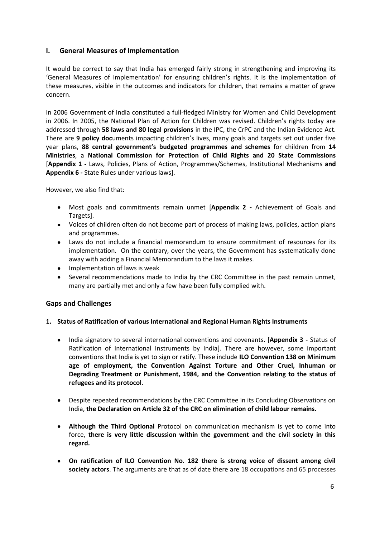#### **I. General Measures of Implementation**

It would be correct to say that India has emerged fairly strong in strengthening and improving its 'General Measures of Implementation' for ensuring children's rights. It is the implementation of these measures, visible in the outcomes and indicators for children, that remains a matter of grave concern.

In 2006 Government of India constituted a full-fledged Ministry for Women and Child Development in 2006. In 2005, the National Plan of Action for Children was revised. Children's rights today are addressed through **58 laws and 80 legal provisions** in the IPC, the CrPC and the Indian Evidence Act. There are **9 policy doc**uments impacting children's lives, many goals and targets set out under five year plans, **88 central government's budgeted programmes and schemes** for children from **14 Ministries**, a **National Commission for Protection of Child Rights and 20 State Commissions** [**Appendix 1 -** Laws, Policies, Plans of Action, Programmes/Schemes, Institutional Mechanisms **and Appendix 6 -** State Rules under various laws].

However, we also find that:

- Most goals and commitments remain unmet [**Appendix 2 -** Achievement of Goals and  $\bullet$ Targets].
- Voices of children often do not become part of process of making laws, policies, action plans and programmes.
- Laws do not include a financial memorandum to ensure commitment of resources for its implementation. On the contrary, over the years, the Government has systematically done away with adding a Financial Memorandum to the laws it makes.
- Implementation of laws is weak
- Several recommendations made to India by the CRC Committee in the past remain unmet, many are partially met and only a few have been fully complied with.

#### **Gaps and Challenges**

#### **1. Status of Ratification of various International and Regional Human Rights Instruments**

- $\bullet$ India signatory to several international conventions and covenants. [**Appendix 3 -** Status of Ratification of International Instruments by India]. There are however, some important conventions that India is yet to sign or ratify. These include **ILO Convention 138 on Minimum age of employment, the Convention Against Torture and Other Cruel, Inhuman or Degrading Treatment or Punishment, 1984, and the Convention relating to the status of refugees and its protocol**.
- Despite repeated recommendations by the CRC Committee in its Concluding Observations on India, **the Declaration on Article 32 of the CRC on elimination of child labour remains.**
- **Although the Third Optional** Protocol on communication mechanism is yet to come into  $\bullet$ force, **there is very little discussion within the government and the civil society in this regard.**
- **On ratification of ILO Convention No. 182 there is strong voice of dissent among civil society actors**. The arguments are that as of date there are 18 occupations and 65 processes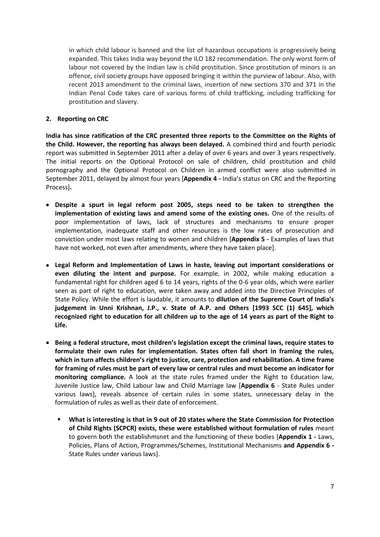in which child labour is banned and the list of hazardous occupations is progressively being expanded. This takes India way beyond the ILO 182 recommendation. The only worst form of labour not covered by the Indian law is child prostitution. Since prostitution of minors is an offence, civil society groups have opposed bringing it within the purview of labour. Also, with recent 2013 amendment to the criminal laws, insertion of new sections 370 and 371 in the Indian Penal Code takes care of various forms of child trafficking, including trafficking for prostitution and slavery.

#### **2. Reporting on CRC**

**India has since ratification of the CRC presented three reports to the Committee on the Rights of the Child. However, the reporting has always been delayed.** A combined third and fourth periodic report was submitted in September 2011 after a delay of over 6 years and over 3 years respectively. The initial reports on the Optional Protocol on sale of children, child prostitution and child pornography and the Optional Protocol on Children in armed conflict were also submitted in September 2011, delayed by almost four years [**Appendix 4 -** India's status on CRC and the Reporting Process]**.** 

- **Despite a spurt in legal reform post 2005, steps need to be taken to strengthen the implementation of existing laws and amend some of the existing ones.** One of the results of poor implementation of laws, lack of structures and mechanisms to ensure proper implementation, inadequate staff and other resources is the low rates of prosecution and conviction under most laws relating to women and children [**Appendix 5 -** Examples of laws that have not worked, not even after amendments, where they have taken place].
- **Legal Reform and Implementation of Laws in haste, leaving out important considerations or even diluting the intent and purpose.** For example, in 2002, while making education a fundamental right for children aged 6 to 14 years, rights of the 0-6 year olds, which were earlier seen as part of right to education, were taken away and added into the Directive Principles of State Policy. While the effort is laudable, it amounts to **dilution of the Supreme Court of India's judgement in Unni Krishnan, J.P., v. State of A.P. and Others [1993 SCC (1) 645], which recognized right to education for all children up to the age of 14 years as part of the Right to Life.**
- **Being a federal structure, most children's legislation except the criminal laws, require states to formulate their own rules for implementation. States often fall short in framing the rules, which in turn affects children's right to justice, care, protection and rehabilitation. A time frame for framing of rules must be part of every law or central rules and must become an indicator for monitoring compliance.** A look at the state rules framed under the Right to Education law, Juvenile Justice law, Child Labour law and Child Marriage law [**Appendix 6** - State Rules under various laws], reveals absence of certain rules in some states, unnecessary delay in the formulation of rules as well as their date of enforcement.
	- **What is interesting is that in 9 out of 20 states where the State Commission for Protection of Child Rights (SCPCR) exists, these were established without formulation of rules** meant to govern both the establishmsnet and the functioning of these bodies [**Appendix 1 -** Laws, Policies, Plans of Action, Programmes/Schemes, Institutional Mechanisms **and Appendix 6 -** State Rules under various laws].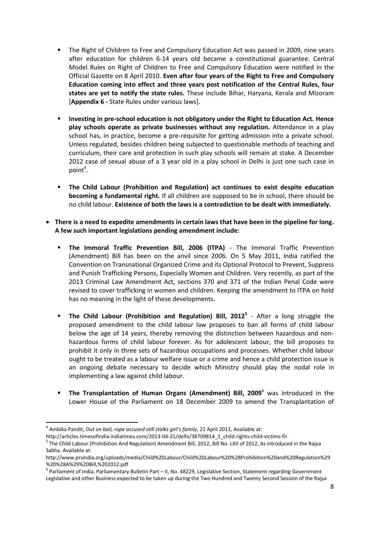- The Right of Children to Free and Compulsory Education Act was passed in 2009, nine years after education for children 6-14 years old became a constitutional guarantee. Central Model Rules on Right of Children to Free and Compulsory Education were notified in the Official Gazette on 8 April 2010. **Even after four years of the Right to Free and Compulsory Education coming into effect and three years post notification of the Central Rules, four states are yet to notify the state rules.** These include Bihar, Haryana, Kerala and Mizoram [**Appendix 6 -** State Rules under various laws].
- **Investing in pre-school education is not obligatory under the Right to Education Act. Hence play schools operate as private businesses without any regulation.** Attendance in a play school has, in practice, become a pre-requisite for getting admission into a private school. Unless regulated, besides children being subjected to questionable methods of teaching and curriculum, their care and protection in such play schools will remain at stake. A December 2012 case of sexual abuse of a 3 year old in a play school in Delhi is just one such case in point<sup>4</sup>.
- **The Child Labour (Prohibition and Regulation) act continues to exist despite education becoming a fundamental right.** If all children are supposed to be in school, there should be no child labour. **Existence of both the laws is a contradiction to be dealt with immediately.**
- **There is a need to expedite amendments in certain laws that have been in the pipeline for long. A few such important legislations pending amendment include:**
	- **The Immoral Traffic Prevention Bill, 2006 (ITPA)** The Immoral Traffic Prevention (Amendment) Bill has been on the anvil since 2006. On 5 May 2011, India ratified the Convention on Transnational Organized Crime and its Optional Protocol to Prevent, Suppress and Punish Trafficking Persons, Especially Women and Children. Very recently, as part of the 2013 Criminal Law Amendment Act, sections 370 and 371 of the Indian Penal Code were revised to cover trafficking in women and children. Keeping the amendment to ITPA on hold has no meaning in the light of these developments.
	- **The Child Labour (Prohibition and Regulation) Bill, 2012<sup>5</sup> After a long struggle the** proposed amendment to the child labour law proposes to ban all forms of child labour below the age of 14 years, thereby removing the distinction between hazardous and nonhazardous forms of child labour forever. As for adolescent labour, the bill proposes to prohibit it only in three sets of hazardous occupations and processes. Whether child labour ought to be treated as a labour welfare issue or a crime and hence a child protection issue is an ongoing debate necessary to decide which Ministry should play the nodal role in implementing a law against child labour.
	- **The Transplantation of Human Organs (Amendment) Bill, 2009**<sup>6</sup> was introduced in the Lower House of the Parliament on 18 December 2009 to amend the Transplantation of

<sup>4</sup> Ambika Pandit, *Out on bail, rape accused still stalks girl's family*, 21 April 2013, Available at:

http://articles.timesofindia.indiatimes.com/2013-04-21/delhi/38709814\_1\_child-rights-child-victims-fir <sup>5</sup> The Child Labour (Prohibition And Regulation) Amendment Bill, 2012, Bill No. LXII of 2012, As introduced in the Rajya Sabha. Available at:

http://www.prsindia.org/uploads/media/Child%20Labour/Child%20Labour%20%28Prohibition%20and%20Regulation%29 %20%28A%29%20Bill,%202012.pdf

<sup>6</sup> Parliament of India, Parliamentary Bulletin Part – II, No. 48229, Legislative Section, Statement regarding Government Legislative and other Business expected to be taken up during the Two Hundred and Twenty Second Session of the Rajya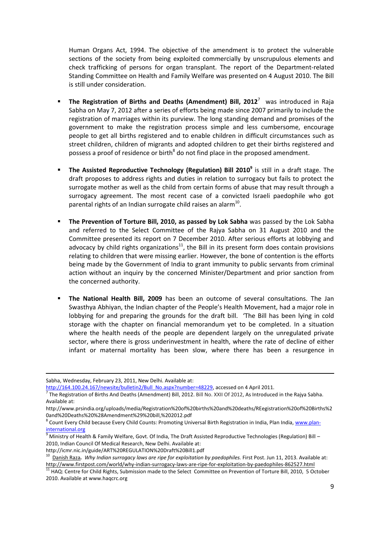Human Organs Act, 1994. The objective of the amendment is to protect the vulnerable sections of the society from being exploited commercially by unscrupulous elements and check trafficking of persons for organ transplant. The report of the Department-related Standing Committee on Health and Family Welfare was presented on 4 August 2010. The Bill is still under consideration.

- **The Registration of Births and Deaths (Amendment) Bill, 2012<sup>7</sup> was introduced in Raja** Sabha on May 7, 2012 after a series of efforts being made since 2007 primarily to include the registration of marriages within its purview. The long standing demand and promises of the government to make the registration process simple and less cumbersome, encourage people to get all births registered and to enable children in difficult circumstances such as street children, children of migrants and adopted children to get their births registered and possess a proof of residence or birth<sup>8</sup> do not find place in the proposed amendment.
- **The Assisted Reproductive Technology (Regulation) Bill 2010<sup>9</sup> is still in a draft stage. The** draft proposes to address rights and duties in relation to surrogacy but fails to protect the surrogate mother as well as the child from certain forms of abuse that may result through a surrogacy agreement. The most recent case of a convicted Israeli paedophile who got parental rights of an Indian surrogate child raises an alarm $^{10}$ .
- **The Prevention of Torture Bill, 2010, as passed by Lok Sabha** was passed by the Lok Sabha and referred to the Select Committee of the Rajya Sabha on 31 August 2010 and the Committee presented its report on 7 December 2010. After serious efforts at lobbying and advocacy by child rights organizations $^{11}$ , the Bill in its present form does contain provisions relating to children that were missing earlier. However, the bone of contention is the efforts being made by the Government of India to grant immunity to public servants from criminal action without an inquiry by the concerned Minister/Department and prior sanction from the concerned authority.
- **The National Health Bill, 2009** has been an outcome of several consultations. The Jan Swasthya Abhiyan, the Indian chapter of the People's Health Movement, had a major role in lobbying for and preparing the grounds for the draft bill. 'The Bill has been lying in cold storage with the chapter on financial memorandum yet to be completed. In a situation where the health needs of the people are dependent largely on the unregulated private sector, where there is gross underinvestment in health, where the rate of decline of either infant or maternal mortality has been slow, where there has been a resurgence in

Sabha, Wednesday, February 23, 2011, New Delhi. Available at:

[http://164.100.24.167/newsite/bulletin2/Bull\\_No.aspx?number=48229,](http://164.100.24.167/newsite/bulletin2/Bull_No.aspx?number=48229) accessed on 4 April 2011.

 $^7$  The Registration of Births And Deaths (Amendment) Bill, 2012. Bill No. XXII Of 2012, As Introduced in the Rajya Sabha. Available at:

http://www.prsindia.org/uploads/media/Registration%20of%20births%20and%20deaths/REegistration%20of%20Births%2 0and%20Deaths%20%28Amendment%29%20bill,%202012.pdf

<sup>&</sup>lt;sup>8</sup> Count Every Child because Every Child Counts: Promoting Universal Birth Registration in India, Plan India, [www.plan](http://www.plan-international.org/)[international.org](http://www.plan-international.org/)

 $\frac{9}{9}$  Ministry of Health & Family Welfare, Govt. Of India, The Draft Assisted Reproductive Technologies (Regulation) Bill – 2010, Indian Council Of Medical Research, New Delhi. Available at:

http://icmr.nic.in/guide/ART%20REGULATION%20Draft%20Bill1.pdf

<sup>&</sup>lt;sup>10</sup> [Danish](http://www.firstpost.com/author/danish) Raza. Why Indian surrogacy laws are ripe for exploitation by paedophiles. First Post. Jun 11, 2013. Available at: <http://www.firstpost.com/world/why-indian-surrogacy-laws-are-ripe-for-exploitation-by-paedophiles-862527.html>

<sup>&</sup>lt;sup>11</sup> HAQ: Centre for Child Rights, Submission made to the Select Committee on Prevention of Torture Bill, 2010, 5 October 2010. Available at www.haqcrc.org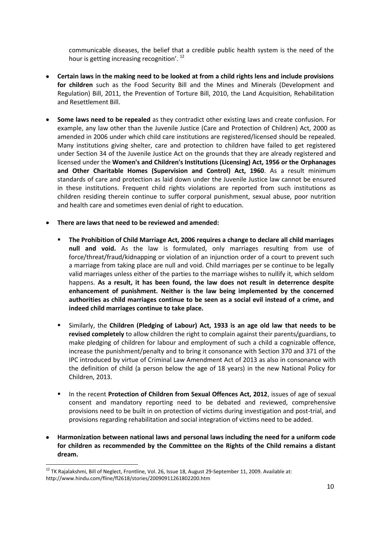communicable diseases, the belief that a credible public health system is the need of the hour is getting increasing recognition'. <sup>12</sup>

- **Certain laws in the making need to be looked at from a child rights lens and include provisions for children** such as the Food Security Bill and the Mines and Minerals (Development and Regulation) Bill, 2011, the Prevention of Torture Bill, 2010, the Land Acquisition, Rehabilitation and Resettlement Bill.
- **Some laws need to be repealed** as they contradict other existing laws and create confusion. For example, any law other than the Juvenile Justice (Care and Protection of Children) Act, 2000 as amended in 2006 under which child care institutions are registered/licensed should be repealed. Many institutions giving shelter, care and protection to children have failed to get registered under Section 34 of the Juvenile Justice Act on the grounds that they are already registered and licensed under the **Women's and Children's Institutions (Licensing) Act, 1956 or the Orphanages and Other Charitable Homes (Supervision and Control) Act, 1960**. As a result minimum standards of care and protection as laid down under the Juvenile Justice law cannot be ensured in these institutions. Frequent child rights violations are reported from such institutions as children residing therein continue to suffer corporal punishment, sexual abuse, poor nutrition and health care and sometimes even denial of right to education.
- **There are laws that need to be reviewed and amended:** 
	- **The Prohibition of Child Marriage Act, 2006 requires a change to declare all child marriages null and void.** As the law is formulated, only marriages resulting from use of force/threat/fraud/kidnapping or violation of an injunction order of a court to prevent such a marriage from taking place are null and void. Child marriages per se continue to be legally valid marriages unless either of the parties to the marriage wishes to nullify it, which seldom happens. **As a result, it has been found, the law does not result in deterrence despite enhancement of punishment. Neither is the law being implemented by the concerned authorities as child marriages continue to be seen as a social evil instead of a crime, and indeed child marriages continue to take place.**
	- Similarly, the **Children (Pledging of Labour) Act, 1933 is an age old law that needs to be revised completely** to allow children the right to complain against their parents/guardians, to make pledging of children for labour and employment of such a child a cognizable offence, increase the punishment/penalty and to bring it consonance with Section 370 and 371 of the IPC introduced by virtue of Criminal Law Amendment Act of 2013 as also in consonance with the definition of child (a person below the age of 18 years) in the new National Policy for Children, 2013.
	- In the recent **Protection of Children from Sexual Offences Act, 2012**, issues of age of sexual consent and mandatory reporting need to be debated and reviewed, comprehensive provisions need to be built in on protection of victims during investigation and post-trial, and provisions regarding rehabilitation and social integration of victims need to be added.
- **Harmonization between national laws and personal laws including the need for a uniform code for children as recommended by the Committee on the Rights of the Child remains a distant dream.**

 $12$  TK Rajalakshmi, Bill of Neglect, Frontline, Vol. 26, Issue 18, August 29-September 11, 2009. Available at: http://www.hindu.com/fline/fl2618/stories/20090911261802200.htm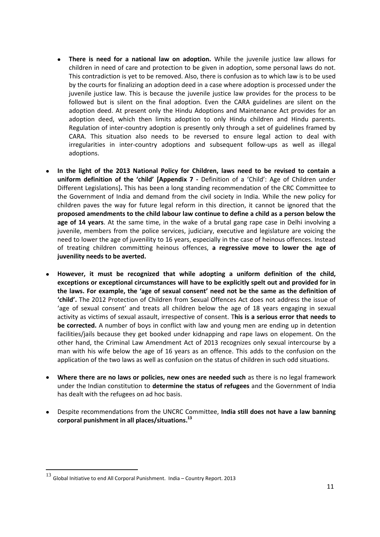- **There is need for a national law on adoption.** While the juvenile justice law allows for children in need of care and protection to be given in adoption, some personal laws do not. This contradiction is yet to be removed. Also, there is confusion as to which law is to be used by the courts for finalizing an adoption deed in a case where adoption is processed under the juvenile justice law. This is because the juvenile justice law provides for the process to be followed but is silent on the final adoption. Even the CARA guidelines are silent on the adoption deed. At present only the Hindu Adoptions and Maintenance Act provides for an adoption deed, which then limits adoption to only Hindu children and Hindu parents. Regulation of inter-country adoption is presently only through a set of guidelines framed by CARA. This situation also needs to be reversed to ensure legal action to deal with irregularities in inter-country adoptions and subsequent follow-ups as well as illegal adoptions.
- **In the light of the 2013 National Policy for Children, laws need to be revised to contain a uniform definition of the 'child' [Appendix 7 -** Definition of a 'Child': Age of Children under Different Legislations]**.** This has been a long standing recommendation of the CRC Committee to the Government of India and demand from the civil society in India. While the new policy for children paves the way for future legal reform in this direction, it cannot be ignored that the **proposed amendments to the child labour law continue to define a child as a person below the age of 14 years**. At the same time, in the wake of a brutal gang rape case in Delhi involving a juvenile, members from the police services, judiciary, executive and legislature are voicing the need to lower the age of juvenility to 16 years, especially in the case of heinous offences. Instead of treating children committing heinous offences, **a regressive move to lower the age of juvenility needs to be averted.**
- **However, it must be recognized that while adopting a uniform definition of the child, exceptions or exceptional circumstances will have to be explicitly spelt out and provided for in the laws. For example, the 'age of sexual consent' need not be the same as the definition of 'child'.** The 2012 Protection of Children from Sexual Offences Act does not address the issue of 'age of sexual consent' and treats all children below the age of 18 years engaging in sexual activity as victims of sexual assault, irrespective of consent. T**his is a serious error that needs to be corrected.** A number of boys in conflict with law and young men are ending up in detention facilities/jails because they get booked under kidnapping and rape laws on elopement. On the other hand, the Criminal Law Amendment Act of 2013 recognizes only sexual intercourse by a man with his wife below the age of 16 years as an offence. This adds to the confusion on the application of the two laws as well as confusion on the status of children in such odd situations.
- **Where there are no laws or policies, new ones are needed such** as there is no legal framework under the Indian constitution to **determine the status of refugees** and the Government of India has dealt with the refugees on ad hoc basis.
- Despite recommendations from the UNCRC Committee, **India still does not have a law banning corporal punishment in all places/situations. 13**

 $\overline{\phantom{a}}$ 

 $^{13}$  Global Initiative to end All Corporal Punishment. India – Country Report. 2013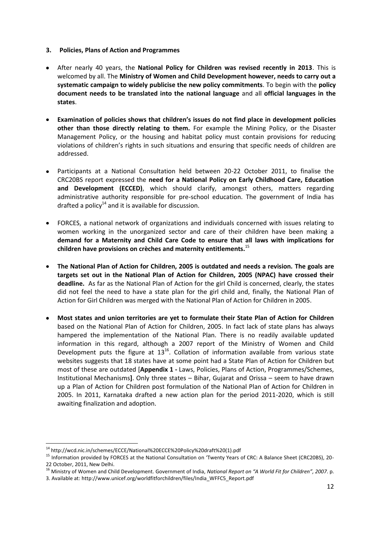- **3. Policies, Plans of Action and Programmes**
- After nearly 40 years, the **National Policy for Children was revised recently in 2013**. This is welcomed by all. The **Ministry of Women and Child Development however, needs to carry out a systematic campaign to widely publicise the new policy commitments**. To begin with the **policy document needs to be translated into the national language** and all **official languages in the states**.
- **Examination of policies shows that children's issues do not find place in development policies other than those directly relating to them.** For example the Mining Policy, or the Disaster Management Policy, or the housing and habitat policy must contain provisions for reducing violations of children's rights in such situations and ensuring that specific needs of children are addressed.
- Participants at a National Consultation held between 20-22 October 2011, to finalise the CRC20BS report expressed the **need for a National Policy on Early Childhood Care, Education and Development (ECCED)**, which should clarify, amongst others, matters regarding administrative authority responsible for pre-school education. The government of India has drafted a policy $^{14}$  and it is available for discussion.
- FORCES, a national network of organizations and individuals concerned with issues relating to women working in the unorganized sector and care of their children have been making a **demand for a Maternity and Child Care Code to ensure that all laws with implications for children have provisions on crèches and maternity entitlements.**<sup>15</sup>
- **The National Plan of Action for Children, 2005 is outdated and needs a revision. The goals are targets set out in the National Plan of Action for Children, 2005 (NPAC) have crossed their deadline.** As far as the National Plan of Action for the girl Child is concerned, clearly, the states did not feel the need to have a state plan for the girl child and, finally, the National Plan of Action for Girl Children was merged with the National Plan of Action for Children in 2005.
- **Most states and union territories are yet to formulate their State Plan of Action for Children** based on the National Plan of Action for Children, 2005. In fact lack of state plans has always hampered the implementation of the National Plan. There is no readily available updated information in this regard, although a 2007 report of the Ministry of Women and Child Development puts the figure at  $13^{16}$ . Collation of information available from various state websites suggests that 18 states have at some point had a State Plan of Action for Children but most of these are outdated [**Appendix 1 -** Laws, Policies, Plans of Action, Programmes/Schemes, Institutional Mechanisms**]**. Only three states – Bihar, Gujarat and Orissa – seem to have drawn up a Plan of Action for Children post formulation of the National Plan of Action for Children in 2005. In 2011, Karnataka drafted a new action plan for the period 2011-2020, which is still awaiting finalization and adoption.

<sup>&</sup>lt;sup>14</sup> [http://wcd.nic.in/schemes/ECCE/National%20ECCE%20Policy%20draft%20\(1\).pdf](http://wcd.nic.in/schemes/ECCE/National%20ECCE%20Policy%20draft%20(1).pdf)

<sup>&</sup>lt;sup>15</sup> Information provided by FORCES at the National Consultation on 'Twenty Years of CRC: A Balance Sheet (CRC20BS), 20-22 October, 2011, New Delhi.

<sup>16</sup> Ministry of Women and Child Development. Government of India, *National Report on "A World Fit for Children", 2007*. p.

<sup>3.</sup> Available at: http://www.unicef.org/worldfitforchildren/files/India\_WFFC5\_Report.pdf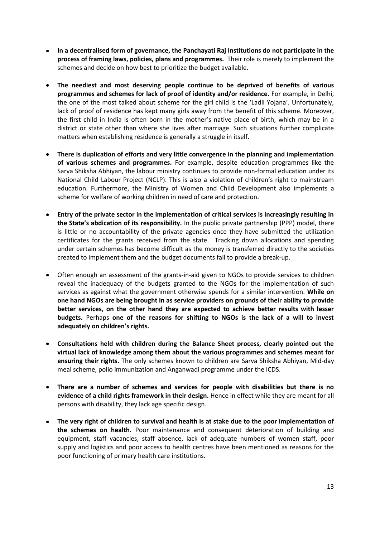- **In a decentralised form of governance, the Panchayati Raj Institutions do not participate in the process of framing laws, policies, plans and programmes.** Their role is merely to implement the schemes and decide on how best to prioritize the budget available.
- **The neediest and most deserving people continue to be deprived of benefits of various programmes and schemes for lack of proof of identity and/or residence.** For example, in Delhi, the one of the most talked about scheme for the girl child is the 'Ladli Yojana'. Unfortunately, lack of proof of residence has kept many girls away from the benefit of this scheme. Moreover, the first child in India is often born in the mother's native place of birth, which may be in a district or state other than where she lives after marriage. Such situations further complicate matters when establishing residence is generally a struggle in itself.
- **There is duplication of efforts and very little convergence in the planning and implementation of various schemes and programmes.** For example, despite education programmes like the Sarva Shiksha Abhiyan, the labour ministry continues to provide non-formal education under its National Child Labour Project (NCLP). This is also a violation of children's right to mainstream education. Furthermore, the Ministry of Women and Child Development also implements a scheme for welfare of working children in need of care and protection.
- **Entry of the private sector in the implementation of critical services is increasingly resulting in the State's abdication of its responsibility.** In the public private partnership (PPP) model, there is little or no accountability of the private agencies once they have submitted the utilization certificates for the grants received from the state. Tracking down allocations and spending under certain schemes has become difficult as the money is transferred directly to the societies created to implement them and the budget documents fail to provide a break-up.
- Often enough an assessment of the grants-in-aid given to NGOs to provide services to children reveal the inadequacy of the budgets granted to the NGOs for the implementation of such services as against what the government otherwise spends for a similar intervention. **While on one hand NGOs are being brought in as service providers on grounds of their ability to provide better services, on the other hand they are expected to achieve better results with lesser budgets.** Perhaps **one of the reasons for shifting to NGOs is the lack of a will to invest adequately on children's rights.**
- **Consultations held with children during the Balance Sheet process, clearly pointed out the virtual lack of knowledge among them about the various programmes and schemes meant for ensuring their rights.** The only schemes known to children are Sarva Shiksha Abhiyan, Mid-day meal scheme, polio immunization and Anganwadi programme under the ICDS.
- **There are a number of schemes and services for people with disabilities but there is no evidence of a child rights framework in their design.** Hence in effect while they are meant for all persons with disability, they lack age specific design.
- **The very right of children to survival and health is at stake due to the poor implementation of the schemes on health.** Poor maintenance and consequent deterioration of building and equipment, staff vacancies, staff absence, lack of adequate numbers of women staff, poor supply and logistics and poor access to health centres have been mentioned as reasons for the poor functioning of primary health care institutions.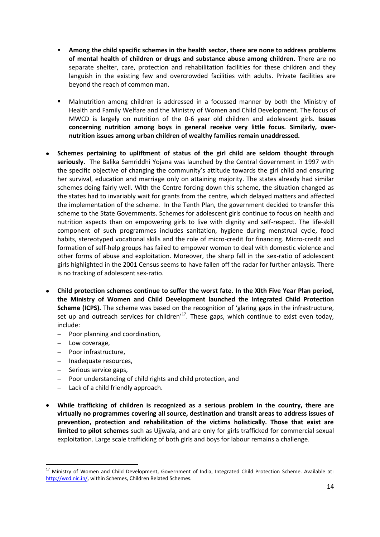- **Among the child specific schemes in the health sector, there are none to address problems of mental health of children or drugs and substance abuse among children.** There are no separate shelter, care, protection and rehabilitation facilities for these children and they languish in the existing few and overcrowded facilities with adults. Private facilities are beyond the reach of common man.
- Malnutrition among children is addressed in a focussed manner by both the Ministry of Health and Family Welfare and the Ministry of Women and Child Development. The focus of MWCD is largely on nutrition of the 0-6 year old children and adolescent girls. **Issues concerning nutrition among boys in general receive very little focus. Similarly, overnutrition issues among urban children of wealthy families remain unaddressed.**
- **Schemes pertaining to upliftment of status of the girl child are seldom thought through seriously.** The Balika Samriddhi Yojana was launched by the Central Government in 1997 with the specific objective of changing the community's attitude towards the girl child and ensuring her survival, education and marriage only on attaining majority. The states already had similar schemes doing fairly well. With the Centre forcing down this scheme, the situation changed as the states had to invariably wait for grants from the centre, which delayed matters and affected the implementation of the scheme. In the Tenth Plan, the government decided to transfer this scheme to the State Governments. Schemes for adolescent girls continue to focus on health and nutrition aspects than on empowering girls to live with dignity and self-respect. The life-skill component of such programmes includes sanitation, hygiene during menstrual cycle, food habits, stereotyped vocational skills and the role of micro-credit for financing. Micro-credit and formation of self-help groups has failed to empower women to deal with domestic violence and other forms of abuse and exploitation. Moreover, the sharp fall in the sex-ratio of adolescent girls highlighted in the 2001 Census seems to have fallen off the radar for further anlaysis. There is no tracking of adolescent sex-ratio.
- **Child protection schemes continue to suffer the worst fate. In the XIth Five Year Plan period, the Ministry of Women and Child Development launched the Integrated Child Protection Scheme (ICPS).** The scheme was based on the recognition of 'glaring gaps in the infrastructure, set up and outreach services for children'<sup>17</sup>. These gaps, which continue to exist even today, include:
	- Poor planning and coordination,  $\equiv$
	- Low coverage,

- $-$  Poor infrastructure,
- Inadequate resources,
- $-$  Serious service gaps,
- Poor understanding of child rights and child protection, and
- Lack of a child friendly approach.
- **While trafficking of children is recognized as a serious problem in the country, there are virtually no programmes covering all source, destination and transit areas to address issues of prevention, protection and rehabilitation of the victims holistically. Those that exist are limited to pilot schemes** such as Ujjwala, and are only for girls trafficked for commercial sexual exploitation. Large scale trafficking of both girls and boys for labour remains a challenge.

<sup>&</sup>lt;sup>17</sup> Ministry of Women and Child Development, Government of India, Integrated Child Protection Scheme. Available at: [http://wcd.nic.in/,](http://wcd.nic.in/) within Schemes, Children Related Schemes.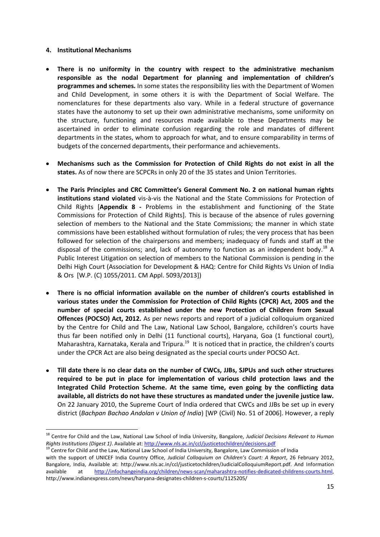#### **4. Institutional Mechanisms**

- **There is no uniformity in the country with respect to the administrative mechanism responsible as the nodal Department for planning and implementation of children's programmes and schemes.** In some states the responsibility lies with the Department of Women and Child Development, in some others it is with the Department of Social Welfare. The nomenclatures for these departments also vary. While in a federal structure of governance states have the autonomy to set up their own administrative mechanisms, some uniformity on the structure, functioning and resources made available to these Departments may be ascertained in order to eliminate confusion regarding the role and mandates of different departments in the states, whom to approach for what, and to ensure comparability in terms of budgets of the concerned departments, their performance and achievements.
- **Mechanisms such as the Commission for Protection of Child Rights do not exist in all the states.** As of now there are SCPCRs in only 20 of the 35 states and Union Territories.
- **The Paris Principles and CRC Committee's General Comment No. 2 on national human rights institutions stand violated** vis-à-vis the National and the State Commissions for Protection of Child Rights [**Appendix 8 -** Problems in the establishment and functioning of the State Commissions for Protection of Child Rights]. This is because of the absence of rules governing selection of members to the National and the State Commissions; the manner in which state commissions have been established without formulation of rules; the very process that has been followed for selection of the chairpersons and members; inadequacy of funds and staff at the disposal of the commissions; and, lack of autonomy to function as an independent body.<sup>18</sup> A Public Interest Litigation on selection of members to the National Commission is pending in the Delhi High Court (Association for Development & HAQ: Centre for Child Rights Vs Union of India & Ors [W.P. (C) 1055/2011. CM Appl. 5093/2013])
- **There is no official information available on the number of children's courts established in various states under the Commission for Protection of Child Rights (CPCR) Act, 2005 and the number of special courts established under the new Protection of Children from Sexual Offences (POCSO) Act, 2012.** As per news reports and report of a judicial colloquium organized by the Centre for Child and The Law, National Law School, Bangalore, cchildren's courts have thus far been notified only in Delhi (11 functional courts), Haryana, Goa (1 functional court), Maharashtra, Karnataka, Kerala and Tripura.<sup>19</sup> It is noticed that in practice, the children's courts under the CPCR Act are also being designated as the special courts under POCSO Act.
- **Till date there is no clear data on the number of CWCs, JJBs, SJPUs and such other structures required to be put in place for implementation of various child protection laws and the Integrated Child Protection Scheme. At the same time, even going by the conflicting data available, all districts do not have these structures as mandated under the juvenile justice law.** On 22 January 2010, the Supreme Court of India ordered that CWCs and JJBs be set up in every district (*Bachpan Bachao Andolan v Union of India*) [WP (Civil) No. 51 of 2006]. However, a reply

<sup>18</sup> Centre for Child and the Law, National Law School of India University, Bangalore, *Judicial Decisions Relevant to Human Rights Institutions (Digest 1)*. Available at[: http://www.nls.ac.in/ccl/justicetochildren/decisions.pdf](http://www.nls.ac.in/ccl/justicetochildren/decisions.pdf)

<sup>&</sup>lt;sup>19</sup> Centre for Child and the Law, National Law School of India University, Bangalore, Law Commission of India

with the support of UNICEF India Country Office, *Judicial Colloquium on Children's Court: A Report*, 26 February 2012, Bangalore, India, Available at: http://www.nls.ac.in/ccl/justicetochildren/JudicialColloquiumReport.pdf. And Information available at [http://infochangeindia.org/children/news-scan/maharashtra-notifies-dedicated-childrens-courts.html,](http://infochangeindia.org/children/news-scan/maharashtra-notifies-dedicated-childrens-courts.html) http://www.indianexpress.com/news/haryana-designates-children-s-courts/1125205/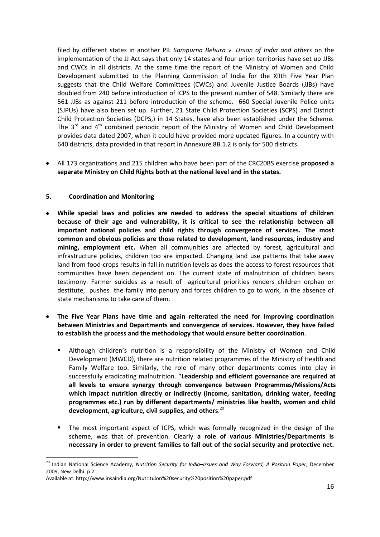filed by different states in another PIL *Sampurna Behura v. Union of India and others* on the implementation of the JJ Act says that only 14 states and four union territories have set up JJBs and CWCs in all districts. At the same time the report of the Ministry of Women and Child Development submitted to the Planning Commission of India for the XIIth Five Year Plan suggests that the Child Welfare Committees (CWCs) and Juvenile Justice Boards (JJBs) have doubled from 240 before introduction of ICPS to the present number of 548. Similarly there are 561 JJBs as against 211 before introduction of the scheme. 660 Special Juvenile Police units (SJPUs) have also been set up. Further, 21 State Child Protection Societies (SCPS) and District Child Protection Societies (DCPS,) in 14 States, have also been established under the Scheme. The  $3^{rd}$  and  $4^{th}$  combined periodic report of the Ministry of Women and Child Development provides data dated 2007, when it could have provided more updated figures. In a country with 640 districts, data provided in that report in Annexure 8B.1.2 is only for 500 districts.

All 173 organizations and 215 children who have been part of the CRC20BS exercise **proposed a separate Ministry on Child Rights both at the national level and in the states.** 

#### **5. Coordination and Monitoring**

- **While special laws and policies are needed to address the special situations of children because of their age and vulnerability, it is critical to see the relationship between all important national policies and child rights through convergence of services. The most common and obvious policies are those related to development, land resources, industry and mining, employment etc.** When all communities are affected by forest, agricultural and infrastructure policies, children too are impacted. Changing land use patterns that take away land from food-crops results in fall in nutrition levels as does the access to forest resources that communities have been dependent on. The current state of malnutrition of children bears testimony. Farmer suicides as a result of agricultural priorities renders children orphan or destitute, pushes the family into penury and forces children to go to work, in the absence of state mechanisms to take care of them.
- **The Five Year Plans have time and again reiterated the need for improving coordination between Ministries and Departments and convergence of services. However, they have failed to establish the process and the methodology that would ensure better coordination**.
	- Although children's nutrition is a responsibility of the Ministry of Women and Child Development (MWCD), there are nutrition related programmes of the Ministry of Health and Family Welfare too. Similarly, the role of many other departments comes into play in successfully eradicating malnutrition. "**Leadership and efficient governance are required at all levels to ensure synergy through convergence between Programmes/Missions/Acts which impact nutrition directly or indirectly (income, sanitation, drinking water, feeding programmes etc.) run by different departments/ ministries like health, women and child development, agriculture, civil supplies, and others**. 20
	- The most important aspect of ICPS, which was formally recognized in the design of the scheme, was that of prevention. Clearly **a role of various Ministries/Departments is necessary in order to prevent families to fall out of the social security and protective net.**

<sup>1</sup> <sup>20</sup> Indian National Science Academy, *Nutrition Security for India–Issues and Way Forward, A Position Paper*, December 2009, New Delhi. p 2.

Available at: http://www.insaindia.org/Nutrituion%20security%20position%20paper.pdf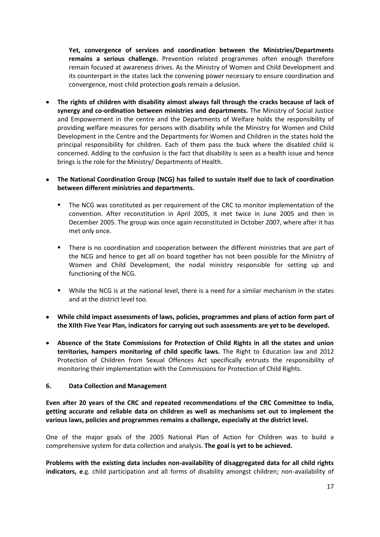**Yet, convergence of services and coordination between the Ministries/Departments remains a serious challenge.** Prevention related programmes often enough therefore remain focused at awareness drives. As the Ministry of Women and Child Development and its counterpart in the states lack the convening power necessary to ensure coordination and convergence, most child protection goals remain a delusion.

**The rights of children with disability almost always fall through the cracks because of lack of synergy and co-ordination between ministries and departments.** The Ministry of Social Justice and Empowerment in the centre and the Departments of Welfare holds the responsibility of providing welfare measures for persons with disability while the Ministry for Women and Child Development in the Centre and the Departments for Women and Children in the states hold the principal responsibility for children. Each of them pass the buck where the disabled child is concerned. Adding to the confusion is the fact that disability is seen as a health issue and hence brings is the role for the Ministry/ Departments of Health.

#### **The National Coordination Group (NCG) has failed to sustain itself due to lack of coordination between different ministries and departments.**

- **The NCG was constituted as per requirement of the CRC to monitor implementation of the** convention. After reconstitution in April 2005, it met twice in June 2005 and then in December 2005. The group was once again reconstituted in October 2007, where after it has met only once.
- There is no coordination and cooperation between the different ministries that are part of the NCG and hence to get all on board together has not been possible for the Ministry of Women and Child Development, the nodal ministry responsible for setting up and functioning of the NCG.
- While the NCG is at the national level, there is a need for a similar mechanism in the states and at the district level too.
- **While child impact assessments of laws, policies, programmes and plans of action form part of the XIIth Five Year Plan, indicators for carrying out such assessments are yet to be developed.**
- **Absence of the State Commissions for Protection of Child Rights in all the states and union territories, hampers monitoring of child specific laws.** The Right to Education law and 2012 Protection of Children from Sexual Offences Act specifically entrusts the responsibility of monitoring their implementation with the Commissions for Protection of Child Rights.

#### **6. Data Collection and Management**

**Even after 20 years of the CRC and repeated recommendations of the CRC Committee to India, getting accurate and reliable data on children as well as mechanisms set out to implement the various laws, policies and programmes remains a challenge, especially at the district level.** 

One of the major goals of the 2005 National Plan of Action for Children was to build a comprehensive system for data collection and analysis. **The goal is yet to be achieved.**

**Problems with the existing data includes non-availability of disaggregated data for all child rights indicators, e**.g. child participation and all forms of disability amongst children; non-availability of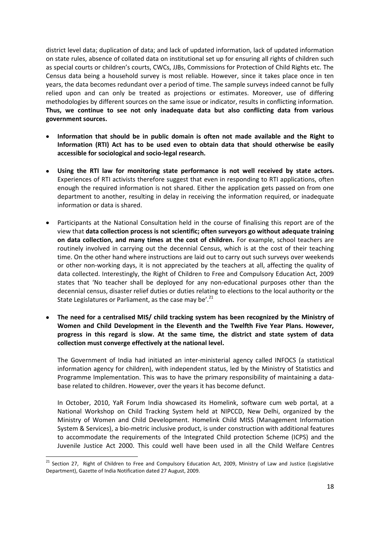district level data; duplication of data; and lack of updated information, lack of updated information on state rules, absence of collated data on institutional set up for ensuring all rights of children such as special courts or children's courts, CWCs, JJBs, Commissions for Protection of Child Rights etc. The Census data being a household survey is most reliable. However, since it takes place once in ten years, the data becomes redundant over a period of time. The sample surveys indeed cannot be fully relied upon and can only be treated as projections or estimates. Moreover, use of differing methodologies by different sources on the same issue or indicator, results in conflicting information. **Thus, we continue to see not only inadequate data but also conflicting data from various government sources.** 

- **Information that should be in public domain is often not made available and the Right to Information (RTI) Act has to be used even to obtain data that should otherwise be easily accessible for sociological and socio-legal research.**
- **Using the RTI law for monitoring state performance is not well received by state actors.** Experiences of RTI activists therefore suggest that even in responding to RTI applications, often enough the required information is not shared. Either the application gets passed on from one department to another, resulting in delay in receiving the information required, or inadequate information or data is shared.
- Participants at the National Consultation held in the course of finalising this report are of the view that **data collection process is not scientific; often surveyors go without adequate training on data collection, and many times at the cost of children.** For example, school teachers are routinely involved in carrying out the decennial Census, which is at the cost of their teaching time. On the other hand where instructions are laid out to carry out such surveys over weekends or other non-working days, it is not appreciated by the teachers at all, affecting the quality of data collected. Interestingly, the Right of Children to Free and Compulsory Education Act, 2009 states that 'No teacher shall be deployed for any non-educational purposes other than the decennial census, disaster relief duties or duties relating to elections to the local authority or the State Legislatures or Parliament, as the case may be'.<sup>21</sup>
- **The need for a centralised MIS/ child tracking system has been recognized by the Ministry of Women and Child Development in the Eleventh and the Twelfth Five Year Plans. However, progress in this regard is slow. At the same time, the district and state system of data collection must converge effectively at the national level.**

The Government of India had initiated an inter-ministerial agency called INFOCS (a statistical information agency for children), with independent status, led by the Ministry of Statistics and Programme Implementation. This was to have the primary responsibility of maintaining a database related to children. However, over the years it has become defunct.

In October, 2010, YaR Forum India showcased its Homelink, software cum web portal, at a National Workshop on Child Tracking System held at NIPCCD, New Delhi, organized by the Ministry of Women and Child Development. Homelink Child MISS (Management Information System & Services), a bio-metric inclusive product, is under construction with additional features to accommodate the requirements of the Integrated Child protection Scheme (ICPS) and the Juvenile Justice Act 2000. This could well have been used in all the Child Welfare Centres

**<sup>.</sup>** <sup>21</sup> Section 27, Right of Children to Free and Compulsory Education Act, 2009, Ministry of Law and Justice (Legislative Department), Gazette of India Notification dated 27 August, 2009.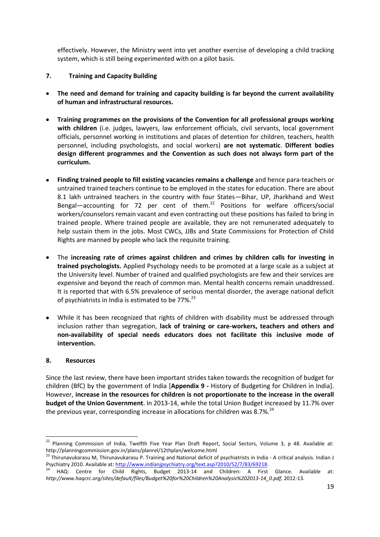effectively. However, the Ministry went into yet another exercise of developing a child tracking system, which is still being experimented with on a pilot basis.

#### **7. Training and Capacity Building**

- **The need and demand for training and capacity building is far beyond the current availability of human and infrastructural resources.**
- **Training programmes on the provisions of the Convention for all professional groups working with children** (i.e. judges, lawyers, law enforcement officials, civil servants, local government officials, personnel working in institutions and places of detention for children, teachers, health personnel, including psychologists, and social workers) **are not systematic**. **Different bodies design different programmes and the Convention as such does not always form part of the curriculum.**
- **Finding trained people to fill existing vacancies remains a challenge** and hence para-teachers or untrained trained teachers continue to be employed in the states for education. There are about 8.1 lakh untrained teachers in the country with four States—Bihar, UP, Jharkhand and West Bengal—accounting for 72 per cent of them.<sup>22</sup> Positions for welfare officers/social workers/counselors remain vacant and even contracting out these positions has failed to bring in trained people. Where trained people are available, they are not remunerated adequately to help sustain them in the jobs. Most CWCs, JJBs and State Commissions for Protection of Child Rights are manned by people who lack the requisite training.
- The **increasing rate of crimes against children and crimes by children calls for investing in trained psychologists.** Applied Psychology needs to be promoted at a large scale as a subject at the University level. Number of trained and qualified psychologists are few and their services are expensive and beyond the reach of common man. Mental health concerns remain unaddressed. It is reported that with 6.5% prevalence of serious mental disorder, the average national deficit of psychiatrists in India is estimated to be 77%.<sup>23</sup>
- While it has been recognized that rights of children with disability must be addressed through inclusion rather than segregation, **lack of training or care-workers, teachers and others and non-availability of special needs educators does not facilitate this inclusive mode of intervention.**

#### **8. Resources**

Since the last review, there have been important strides taken towards the recognition of budget for children (BfC) by the government of India [**Appendix 9 -** History of Budgeting for Children in India]. However, **increase in the resources for children is not proportionate to the increase in the overall budget of the Union Government**. In 2013-14, while the total Union Budget increased by 11.7% over the previous year, corresponding increase in allocations for children was 8.7%.<sup>24</sup>

 $\overline{\phantom{a}}$  $22$  Planning Commission of India, Twelfth Five Year Plan Draft Report, Social Sectors, Volume 3, p 48. Available at: http://planningcommission.gov.in/plans/planrel/12thplan/welcome.html

<sup>&</sup>lt;sup>23</sup> Thirunavukarasu M, Thirunavukarasu P. Training and National deficit of psychiatrists in India - A critical analysis. Indian J Psychiatry 2010. Available at: [http://www.indianjpsychiatry.org/text.asp?2010/52/7/83/69218.](http://www.indianjpsychiatry.org/text.asp?2010/52/7/83/69218)

<sup>24</sup> HAQ: Centre for Child Rights, Budget 2013-14 and Children: A First Glance. Available at: *http://www.haqcrc.org/sites/default/files/Budget%20for%20Children%20Analysis%202013-14\_0.pdf,* 2012-13.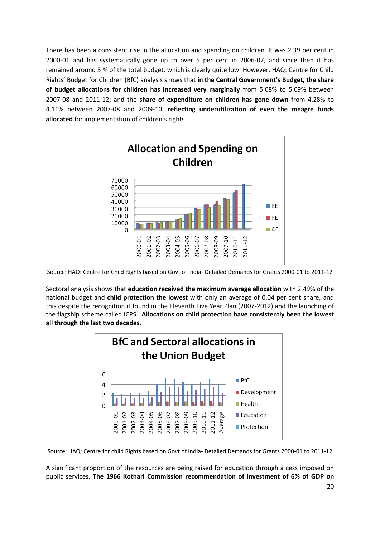There has been a consistent rise in the allocation and spending on children. It was 2.39 per cent in 2000-01 and has systematically gone up to over 5 per cent in 2006-07, and since then it has remained around 5 % of the total budget, which is clearly quite low. However, HAQ: Centre for Child Rights' Budget for Children (BfC) analysis shows that **in the Central Government's Budget, the share of budget allocations for children has increased very marginally** from 5.08% to 5.09% between 2007-08 and 2011-12; and the **share of expenditure on children has gone down** from 4.28% to 4.11% between 2007-08 and 2009-10, **reflecting underutilization of even the meagre funds allocated** for implementation of children's rights.



Source: HAQ: Centre for Child Rights based on Govt of India- Detailed Demands for Grants 2000-01 to 2011-12

Sectoral analysis shows that **education received the maximum average allocation** with 2.49% of the national budget and **child protection the lowest** with only an average of 0.04 per cent share, and this despite the recognition it found in the Eleventh Five Year Plan (2007-2012) and the launching of the flagship scheme called ICPS. **Allocations on child protection have consistently been the lowest all through the last two decades**.



Source: HAQ: Centre for child Rights based on Govt of India- Detailed Demands for Grants 2000-01 to 2011-12

A significant proportion of the resources are being raised for education through a cess imposed on public services. **The 1966 Kothari Commission recommendation of investment of 6% of GDP on**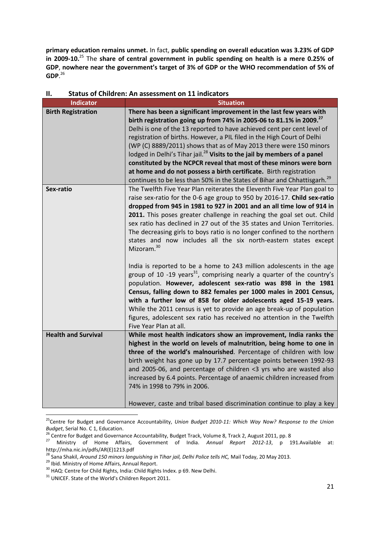**primary education remains unmet.** In fact, **public spending on overall education was 3.23% of GDP in 2009-10.**<sup>25</sup> The **share of central government in public spending on health is a mere 0.25% of GDP**, **nowhere near the government's target of 3% of GDP or the WHO recommendation of 5% of GDP**. 26

| <b>Indicator</b>           | <b>Situation</b>                                                                     |
|----------------------------|--------------------------------------------------------------------------------------|
| <b>Birth Registration</b>  | There has been a significant improvement in the last few years with                  |
|                            | birth registration going up from 74% in 2005-06 to 81.1% in 2009. <sup>27</sup>      |
|                            | Delhi is one of the 13 reported to have achieved cent per cent level of              |
|                            | registration of births. However, a PIL filed in the High Court of Delhi              |
|                            | (WP (C) 8889/2011) shows that as of May 2013 there were 150 minors                   |
|                            | lodged in Delhi's Tihar jail. <sup>28</sup> Visits to the jail by members of a panel |
|                            | constituted by the NCPCR reveal that most of these minors were born                  |
|                            | at home and do not possess a birth certificate. Birth registration                   |
|                            | continues to be less than 50% in the States of Bihar and Chhattisgarh. <sup>29</sup> |
| Sex-ratio                  | The Twelfth Five Year Plan reiterates the Eleventh Five Year Plan goal to            |
|                            | raise sex-ratio for the 0-6 age group to 950 by 2016-17. Child sex-ratio             |
|                            | dropped from 945 in 1981 to 927 in 2001 and an all time low of 914 in                |
|                            | 2011. This poses greater challenge in reaching the goal set out. Child               |
|                            | sex ratio has declined in 27 out of the 35 states and Union Territories.             |
|                            | The decreasing girls to boys ratio is no longer confined to the northern             |
|                            | states and now includes all the six north-eastern states except                      |
|                            | Mizoram. <sup>30</sup>                                                               |
|                            |                                                                                      |
|                            | India is reported to be a home to 243 million adolescents in the age                 |
|                            | group of 10 -19 years <sup>31</sup> , comprising nearly a quarter of the country's   |
|                            | population. However, adolescent sex-ratio was 898 in the 1981                        |
|                            | Census, falling down to 882 females per 1000 males in 2001 Census,                   |
|                            | with a further low of 858 for older adolescents aged 15-19 years.                    |
|                            | While the 2011 census is yet to provide an age break-up of population                |
|                            | figures, adolescent sex ratio has received no attention in the Twelfth               |
|                            | Five Year Plan at all.                                                               |
| <b>Health and Survival</b> | While most health indicators show an improvement, India ranks the                    |
|                            | highest in the world on levels of malnutrition, being home to one in                 |
|                            | three of the world's malnourished. Percentage of children with low                   |
|                            | birth weight has gone up by 17.7 percentage points between 1992-93                   |
|                            | and 2005-06, and percentage of children <3 yrs who are wasted also                   |
|                            | increased by 6.4 points. Percentage of anaemic children increased from               |
|                            | 74% in 1998 to 79% in 2006.                                                          |
|                            |                                                                                      |
|                            | However, caste and tribal based discrimination continue to play a key                |

#### **II. Status of Children: An assessment on 11 indicators**

<sup>1</sup> <sup>25</sup>Centre for Budget and Governance Accountability, *Union Budget 2010-11: Which Way Now? Response to the Union Budget*, Serial No. C 1, Education.

<sup>&</sup>lt;sup>26</sup> Centre for Budget and Governance Accountability, Budget Track, Volume 8, Track 2, August 2011, pp. 8

<sup>27</sup> Ministry of Home Affairs, Government of India. *Annual Report 2012-13*, p 191.Available at: http://mha.nic.in/pdfs/AR(E)1213.pdf

<sup>&</sup>lt;sup>28</sup> Sana Shakil, *Around 150 minors languishing in Tihar jail, Delhi Police tells HC, Mail Today, 20 May 2013.* 

<sup>29</sup> Ibid. Ministry of Home Affairs, Annual Report.

<sup>&</sup>lt;sup>30</sup> HAQ: Centre for Child Rights, India: Child Rights Index. p 69. New Delhi.

<sup>&</sup>lt;sup>31</sup> UNICEF. State of the World's Children Report 2011.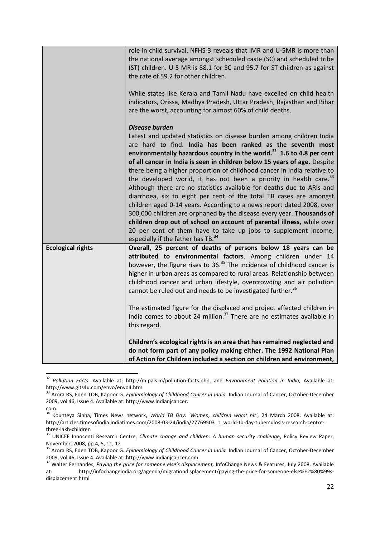|                          | role in child survival. NFHS-3 reveals that IMR and U-5MR is more than<br>the national average amongst scheduled caste (SC) and scheduled tribe<br>(ST) children. U-5 MR is 88.1 for SC and 95.7 for ST children as against<br>the rate of 59.2 for other children.<br>While states like Kerala and Tamil Nadu have excelled on child health                                                                                                                                                                                                                                                                                                                                                                                                                                                                                                                                                                                                                                               |
|--------------------------|--------------------------------------------------------------------------------------------------------------------------------------------------------------------------------------------------------------------------------------------------------------------------------------------------------------------------------------------------------------------------------------------------------------------------------------------------------------------------------------------------------------------------------------------------------------------------------------------------------------------------------------------------------------------------------------------------------------------------------------------------------------------------------------------------------------------------------------------------------------------------------------------------------------------------------------------------------------------------------------------|
|                          | indicators, Orissa, Madhya Pradesh, Uttar Pradesh, Rajasthan and Bihar<br>are the worst, accounting for almost 60% of child deaths.                                                                                                                                                                                                                                                                                                                                                                                                                                                                                                                                                                                                                                                                                                                                                                                                                                                        |
|                          | <b>Disease burden</b><br>Latest and updated statistics on disease burden among children India<br>are hard to find. India has been ranked as the seventh most<br>environmentally hazardous country in the world. <sup>32</sup> 1.6 to 4.8 per cent<br>of all cancer in India is seen in children below 15 years of age. Despite<br>there being a higher proportion of childhood cancer in India relative to<br>the developed world, it has not been a priority in health care. <sup>33</sup><br>Although there are no statistics available for deaths due to ARIs and<br>diarrhoea, six to eight per cent of the total TB cases are amongst<br>children aged 0-14 years. According to a news report dated 2008, over<br>300,000 children are orphaned by the disease every year. Thousands of<br>children drop out of school on account of parental illness, while over<br>20 per cent of them have to take up jobs to supplement income,<br>especially if the father has TB. <sup>34</sup> |
| <b>Ecological rights</b> | Overall, 25 percent of deaths of persons below 18 years can be<br>attributed to environmental factors. Among children under 14<br>however, the figure rises to 36. <sup>35</sup> The incidence of childhood cancer is<br>higher in urban areas as compared to rural areas. Relationship between<br>childhood cancer and urban lifestyle, overcrowding and air pollution<br>cannot be ruled out and needs to be investigated further. <sup>36</sup><br>The estimated figure for the displaced and project affected children in<br>India comes to about 24 million. <sup>37</sup> There are no estimates available in                                                                                                                                                                                                                                                                                                                                                                        |
|                          | this regard.<br>Children's ecological rights is an area that has remained neglected and<br>do not form part of any policy making either. The 1992 National Plan<br>of Action for Children included a section on children and environment,                                                                                                                                                                                                                                                                                                                                                                                                                                                                                                                                                                                                                                                                                                                                                  |

<sup>32</sup> *Pollution Facts.* Available at: http://m.pals.in/pollution-facts.php, and *Envrionment Polution in India,* Available at: http://www.gits4u.com/envo/envo4.htm

<sup>33</sup> Arora RS, Eden TOB, Kapoor G. *Epidemiology of Childhood Cancer in India.* Indian Journal of Cancer, October-December 2009, vol 46, Issue 4. Available at: http://www.indianjcancer.

com.

<sup>34</sup> Kounteya Sinha, Times News network, *World TB Day: 'Women, children worst hit'*, 24 March 2008. Available at: http://articles.timesofindia.indiatimes.com/2008-03-24/india/27769503\_1\_world-tb-day-tuberculosis-research-centrethree-lakh-children

<sup>35</sup> UNICEF Innocenti Research Centre, *Climate change and children: A human security challenge*, Policy Review Paper, November, 2008, pp.4, 5, 11, 12

<sup>36</sup> Arora RS, Eden TOB, Kapoor G. *Epidemiology of Childhood Cancer in India.* Indian Journal of Cancer, October-December 2009, vol 46, Issue 4. Available at: http://www.indianjcancer.com.

<sup>37</sup> Walter Fernandes, *Paying the price for someone else's displacement,* InfoChange News & Features, July 2008. Available at: http://infochangeindia.org/agenda/migrationdisplacement/paying-the-price-for-someone-else%E2%80%99sdisplacement.html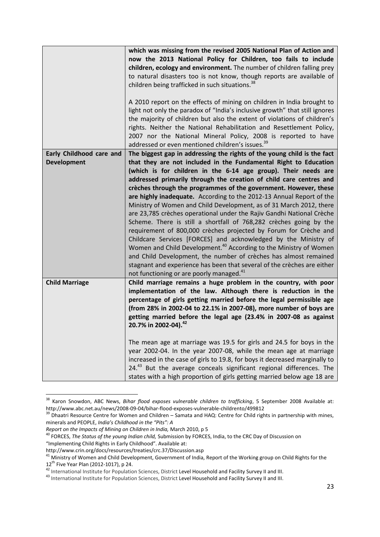|                          | which was missing from the revised 2005 National Plan of Action and<br>now the 2013 National Policy for Children, too fails to include<br>children, ecology and environment. The number of children falling prey<br>to natural disasters too is not know, though reports are available of<br>children being trafficked in such situations. <sup>38</sup><br>A 2010 report on the effects of mining on children in India brought to<br>light not only the paradox of "India's inclusive growth" that still ignores<br>the majority of children but also the extent of violations of children's<br>rights. Neither the National Rehabilitation and Resettlement Policy, |
|--------------------------|-----------------------------------------------------------------------------------------------------------------------------------------------------------------------------------------------------------------------------------------------------------------------------------------------------------------------------------------------------------------------------------------------------------------------------------------------------------------------------------------------------------------------------------------------------------------------------------------------------------------------------------------------------------------------|
|                          | 2007 nor the National Mineral Policy, 2008 is reported to have<br>addressed or even mentioned children's issues. <sup>39</sup>                                                                                                                                                                                                                                                                                                                                                                                                                                                                                                                                        |
| Early Childhood care and | The biggest gap in addressing the rights of the young child is the fact                                                                                                                                                                                                                                                                                                                                                                                                                                                                                                                                                                                               |
| <b>Development</b>       | that they are not included in the Fundamental Right to Education                                                                                                                                                                                                                                                                                                                                                                                                                                                                                                                                                                                                      |
|                          | (which is for children in the 6-14 age group). Their needs are                                                                                                                                                                                                                                                                                                                                                                                                                                                                                                                                                                                                        |
|                          | addressed primarily through the creation of child care centres and<br>crèches through the programmes of the government. However, these                                                                                                                                                                                                                                                                                                                                                                                                                                                                                                                                |
|                          | are highly inadequate. According to the 2012-13 Annual Report of the                                                                                                                                                                                                                                                                                                                                                                                                                                                                                                                                                                                                  |
|                          | Ministry of Women and Child Development, as of 31 March 2012, there                                                                                                                                                                                                                                                                                                                                                                                                                                                                                                                                                                                                   |
|                          | are 23,785 crèches operational under the Rajiv Gandhi National Crèche                                                                                                                                                                                                                                                                                                                                                                                                                                                                                                                                                                                                 |
|                          | Scheme. There is still a shortfall of 768,282 crèches going by the                                                                                                                                                                                                                                                                                                                                                                                                                                                                                                                                                                                                    |
|                          | requirement of 800,000 crèches projected by Forum for Crèche and                                                                                                                                                                                                                                                                                                                                                                                                                                                                                                                                                                                                      |
|                          | Childcare Services [FORCES] and acknowledged by the Ministry of                                                                                                                                                                                                                                                                                                                                                                                                                                                                                                                                                                                                       |
|                          | Women and Child Development. <sup>40</sup> According to the Ministry of Women                                                                                                                                                                                                                                                                                                                                                                                                                                                                                                                                                                                         |
|                          | and Child Development, the number of crèches has almost remained                                                                                                                                                                                                                                                                                                                                                                                                                                                                                                                                                                                                      |
|                          | stagnant and experience has been that several of the crèches are either                                                                                                                                                                                                                                                                                                                                                                                                                                                                                                                                                                                               |
|                          | not functioning or are poorly managed. <sup>41</sup>                                                                                                                                                                                                                                                                                                                                                                                                                                                                                                                                                                                                                  |
| <b>Child Marriage</b>    | Child marriage remains a huge problem in the country, with poor                                                                                                                                                                                                                                                                                                                                                                                                                                                                                                                                                                                                       |
|                          | implementation of the law. Although there is reduction in the                                                                                                                                                                                                                                                                                                                                                                                                                                                                                                                                                                                                         |
|                          | percentage of girls getting married before the legal permissible age                                                                                                                                                                                                                                                                                                                                                                                                                                                                                                                                                                                                  |
|                          | (from 28% in 2002-04 to 22.1% in 2007-08), more number of boys are                                                                                                                                                                                                                                                                                                                                                                                                                                                                                                                                                                                                    |
|                          | getting married before the legal age (23.4% in 2007-08 as against<br>20.7% in 2002-04). <sup>42</sup>                                                                                                                                                                                                                                                                                                                                                                                                                                                                                                                                                                 |
|                          | The mean age at marriage was 19.5 for girls and 24.5 for boys in the<br>year 2002-04. In the year 2007-08, while the mean age at marriage<br>increased in the case of girls to 19.8, for boys it decreased marginally to<br>24.43 But the average conceals significant regional differences. The<br>states with a high proportion of girls getting married below age 18 are                                                                                                                                                                                                                                                                                           |

<sup>38</sup> Karon Snowdon, ABC News, *Bihar flood exposes vulnerable children to trafficking*, 5 September 2008 Available at: http://www.abc.net.au/news/2008-09-04/bihar-flood-exposes-vulnerable-childrento/499812

 $\overline{\phantom{a}}$ 

<sup>&</sup>lt;sup>39</sup> Dhaatri Resource Centre for Women and Children – Samata and HAQ: Centre for Child rights in partnership with mines, minerals and PEOPLE, *India's Childhood in the "Pits": A*

*Report on the Impacts of Mining on Children in India,* March 2010, p 5

<sup>40</sup> FORCES, *The Status of the young Indian child,* Submission by FORCES, India, to the CRC Day of Discussion on "Implementing Child Rights in Early Childhood". Available at:

http://www.crin.org/docs/resources/treaties/crc.37/Discussion.asp

<sup>&</sup>lt;sup>41</sup> Ministry of Women and Child Development, Government of India, Report of the Working group on Child Rights for the 12<sup>th</sup> Five Year Plan (2012-1017), p 24.

<sup>&</sup>lt;sup>42</sup> International Institute for Population Sciences, District Level Household and Facility Survey II and III.

<sup>43</sup> International Institute for Population Sciences, District Level Household and Facility Survey II and III.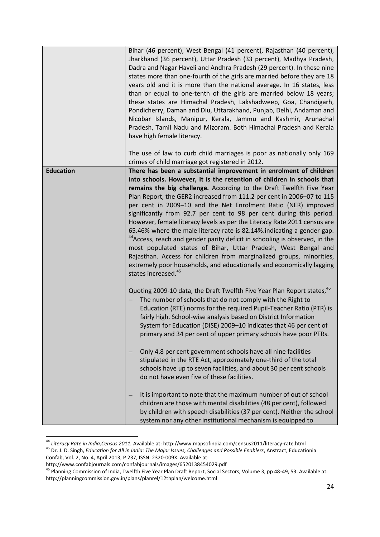|                  | Bihar (46 percent), West Bengal (41 percent), Rajasthan (40 percent),<br>Jharkhand (36 percent), Uttar Pradesh (33 percent), Madhya Pradesh,<br>Dadra and Nagar Haveli and Andhra Pradesh (29 percent). In these nine<br>states more than one-fourth of the girls are married before they are 18<br>years old and it is more than the national average. In 16 states, less<br>than or equal to one-tenth of the girls are married below 18 years;<br>these states are Himachal Pradesh, Lakshadweep, Goa, Chandigarh,<br>Pondicherry, Daman and Diu, Uttarakhand, Punjab, Delhi, Andaman and<br>Nicobar Islands, Manipur, Kerala, Jammu and Kashmir, Arunachal<br>Pradesh, Tamil Nadu and Mizoram. Both Himachal Pradesh and Kerala<br>have high female literacy.                                                                                                                                                                          |
|------------------|--------------------------------------------------------------------------------------------------------------------------------------------------------------------------------------------------------------------------------------------------------------------------------------------------------------------------------------------------------------------------------------------------------------------------------------------------------------------------------------------------------------------------------------------------------------------------------------------------------------------------------------------------------------------------------------------------------------------------------------------------------------------------------------------------------------------------------------------------------------------------------------------------------------------------------------------|
|                  | The use of law to curb child marriages is poor as nationally only 169<br>crimes of child marriage got registered in 2012.                                                                                                                                                                                                                                                                                                                                                                                                                                                                                                                                                                                                                                                                                                                                                                                                                  |
| <b>Education</b> | There has been a substantial improvement in enrolment of children<br>into schools. However, it is the retention of children in schools that<br>remains the big challenge. According to the Draft Twelfth Five Year<br>Plan Report, the GER2 increased from 111.2 per cent in 2006-07 to 115<br>per cent in 2009-10 and the Net Enrolment Ratio (NER) improved<br>significantly from 92.7 per cent to 98 per cent during this period.<br>However, female literacy levels as per the Literacy Rate 2011 census are<br>65.46% where the male literacy rate is 82.14%.indicating a gender gap.<br><sup>44</sup> Access, reach and gender parity deficit in schooling is observed, in the<br>most populated states of Bihar, Uttar Pradesh, West Bengal and<br>Rajasthan. Access for children from marginalized groups, minorities,<br>extremely poor households, and educationally and economically lagging<br>states increased. <sup>45</sup> |
|                  | Quoting 2009-10 data, the Draft Twelfth Five Year Plan Report states, <sup>46</sup><br>The number of schools that do not comply with the Right to<br>Education (RTE) norms for the required Pupil-Teacher Ratio (PTR) is<br>fairly high. School-wise analysis based on District Information<br>System for Education (DISE) 2009-10 indicates that 46 per cent of<br>primary and 34 per cent of upper primary schools have poor PTRs.                                                                                                                                                                                                                                                                                                                                                                                                                                                                                                       |
|                  | Only 4.8 per cent government schools have all nine facilities<br>stipulated in the RTE Act, approximately one-third of the total<br>schools have up to seven facilities, and about 30 per cent schools<br>do not have even five of these facilities.                                                                                                                                                                                                                                                                                                                                                                                                                                                                                                                                                                                                                                                                                       |
|                  | It is important to note that the maximum number of out of school<br>children are those with mental disabilities (48 per cent), followed<br>by children with speech disabilities (37 per cent). Neither the school<br>system nor any other institutional mechanism is equipped to                                                                                                                                                                                                                                                                                                                                                                                                                                                                                                                                                                                                                                                           |

<sup>44</sup> *Literacy Rate in India,Census 2011.* Available at: http://www.mapsofindia.com/census2011/literacy-rate.html <sup>45</sup> Dr. J. D. Singh, *Education for All in India: The Major Issues, Challenges and Possible Enablers*, Anstract, Educationia Confab, Vol. 2, No. 4, April 2013, P 237, ISSN: 2320-009X. Available at:

 $\overline{\phantom{a}}$ 

http://www.confabjournals.com/confabjournals/images/6520138454029.pdf

<sup>&</sup>lt;sup>46</sup> Planning Commission of India, Twelfth Five Year Plan Draft Report, Social Sectors, Volume 3, pp 48-49, 53. Available at: http://planningcommission.gov.in/plans/planrel/12thplan/welcome.html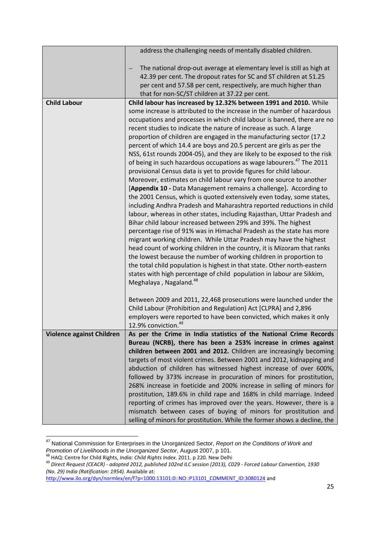|                           | address the challenging needs of mentally disabled children.                                                                                                                                                                                                                                                                                                                                                                                                                                                                                                                                                                                                                                                                                                                                                                                                                                                                                                                                                                                                                                                                                                                                                                                                                                                                                                                                                                                                                                                                                       |
|---------------------------|----------------------------------------------------------------------------------------------------------------------------------------------------------------------------------------------------------------------------------------------------------------------------------------------------------------------------------------------------------------------------------------------------------------------------------------------------------------------------------------------------------------------------------------------------------------------------------------------------------------------------------------------------------------------------------------------------------------------------------------------------------------------------------------------------------------------------------------------------------------------------------------------------------------------------------------------------------------------------------------------------------------------------------------------------------------------------------------------------------------------------------------------------------------------------------------------------------------------------------------------------------------------------------------------------------------------------------------------------------------------------------------------------------------------------------------------------------------------------------------------------------------------------------------------------|
|                           | The national drop-out average at elementary level is still as high at<br>42.39 per cent. The dropout rates for SC and ST children at 51.25<br>per cent and 57.58 per cent, respectively, are much higher than<br>that for non-SC/ST children at 37.22 per cent.                                                                                                                                                                                                                                                                                                                                                                                                                                                                                                                                                                                                                                                                                                                                                                                                                                                                                                                                                                                                                                                                                                                                                                                                                                                                                    |
| <b>Child Labour</b>       | Child labour has increased by 12.32% between 1991 and 2010. While                                                                                                                                                                                                                                                                                                                                                                                                                                                                                                                                                                                                                                                                                                                                                                                                                                                                                                                                                                                                                                                                                                                                                                                                                                                                                                                                                                                                                                                                                  |
|                           | some increase is attributed to the increase in the number of hazardous<br>occupations and processes in which child labour is banned, there are no<br>recent studies to indicate the nature of increase as such. A large<br>proportion of children are engaged in the manufacturing sector (17.2<br>percent of which 14.4 are boys and 20.5 percent are girls as per the<br>NSS, 61st rounds 2004-05), and they are likely to be exposed to the risk<br>of being in such hazardous occupations as wage labourers. <sup>47</sup> The 2011<br>provisional Census data is yet to provide figures for child labour.<br>Moreover, estimates on child labour vary from one source to another<br>[Appendix 10 - Data Management remains a challenge]. According to<br>the 2001 Census, which is quoted extensively even today, some states,<br>including Andhra Pradesh and Maharashtra reported reductions in child<br>labour, whereas in other states, including Rajasthan, Uttar Pradesh and<br>Bihar child labour increased between 29% and 39%. The highest<br>percentage rise of 91% was in Himachal Pradesh as the state has more<br>migrant working children. While Uttar Pradesh may have the highest<br>head count of working children in the country, it is Mizoram that ranks<br>the lowest because the number of working children in proportion to<br>the total child population is highest in that state. Other north-eastern<br>states with high percentage of child population in labour are Sikkim,<br>Meghalaya, Nagaland. <sup>48</sup> |
|                           | Between 2009 and 2011, 22,468 prosecutions were launched under the<br>Child Labour (Prohibition and Regulation) Act [CLPRA] and 2,896<br>employers were reported to have been convicted, which makes it only<br>12.9% conviction. <sup>49</sup>                                                                                                                                                                                                                                                                                                                                                                                                                                                                                                                                                                                                                                                                                                                                                                                                                                                                                                                                                                                                                                                                                                                                                                                                                                                                                                    |
| Violence against Children | As per the Crime in India statistics of the National Crime Records                                                                                                                                                                                                                                                                                                                                                                                                                                                                                                                                                                                                                                                                                                                                                                                                                                                                                                                                                                                                                                                                                                                                                                                                                                                                                                                                                                                                                                                                                 |
|                           | Bureau (NCRB), there has been a 253% increase in crimes against                                                                                                                                                                                                                                                                                                                                                                                                                                                                                                                                                                                                                                                                                                                                                                                                                                                                                                                                                                                                                                                                                                                                                                                                                                                                                                                                                                                                                                                                                    |
|                           | children between 2001 and 2012. Children are increasingly becoming                                                                                                                                                                                                                                                                                                                                                                                                                                                                                                                                                                                                                                                                                                                                                                                                                                                                                                                                                                                                                                                                                                                                                                                                                                                                                                                                                                                                                                                                                 |
|                           | targets of most violent crimes. Between 2001 and 2012, kidnapping and                                                                                                                                                                                                                                                                                                                                                                                                                                                                                                                                                                                                                                                                                                                                                                                                                                                                                                                                                                                                                                                                                                                                                                                                                                                                                                                                                                                                                                                                              |
|                           | abduction of children has witnessed highest increase of over 600%,                                                                                                                                                                                                                                                                                                                                                                                                                                                                                                                                                                                                                                                                                                                                                                                                                                                                                                                                                                                                                                                                                                                                                                                                                                                                                                                                                                                                                                                                                 |
|                           | followed by 373% increase in procuration of minors for prostitution,                                                                                                                                                                                                                                                                                                                                                                                                                                                                                                                                                                                                                                                                                                                                                                                                                                                                                                                                                                                                                                                                                                                                                                                                                                                                                                                                                                                                                                                                               |
|                           | 268% increase in foeticide and 200% increase in selling of minors for<br>prostitution, 189.6% in child rape and 168% in child marriage. Indeed<br>reporting of crimes has improved over the years. However, there is a<br>mismatch between cases of buying of minors for prostitution and<br>selling of minors for prostitution. While the former shows a decline, the                                                                                                                                                                                                                                                                                                                                                                                                                                                                                                                                                                                                                                                                                                                                                                                                                                                                                                                                                                                                                                                                                                                                                                             |

<sup>47</sup> National Commission for Enterprises in the Unorganized Sector, *Report on the Conditions of Work and Promotion of Livelihoods in the Unorganized Sector*, August 2007, p 101.

<sup>48</sup> HAQ: Centre for Child Rights, *India: Child Rights Index*. 2011. p 220. New Delhi

<sup>49</sup> *Direct Request (CEACR) - adopted 2012, published 102nd ILC session (2013), C029 - Forced Labour Convention, 1930 (No. 29) India (Ratification: 1954).* Available at:

[http://www.ilo.org/dyn/normlex/en/f?p=1000:13101:0::NO::P13101\\_COMMENT\\_ID:3080124](http://www.ilo.org/dyn/normlex/en/f?p=1000:13101:0::NO::P13101_COMMENT_ID:3080124) and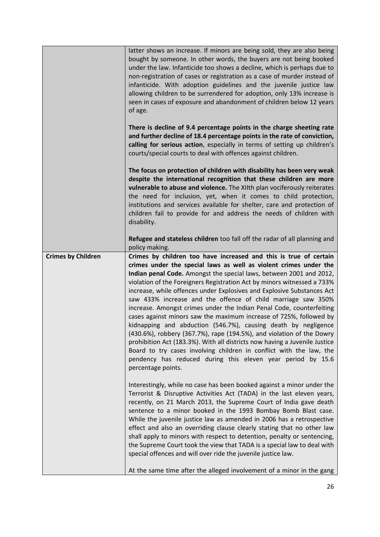|                           | latter shows an increase. If minors are being sold, they are also being<br>bought by someone. In other words, the buyers are not being booked<br>under the law. Infanticide too shows a decline, which is perhaps due to<br>non-registration of cases or registration as a case of murder instead of<br>infanticide. With adoption guidelines and the juvenile justice law<br>allowing children to be surrendered for adoption, only 13% increase is<br>seen in cases of exposure and abandonment of children below 12 years<br>of age.                                                                                                                                                                                                                                                                                                                                                                                                                               |
|---------------------------|-----------------------------------------------------------------------------------------------------------------------------------------------------------------------------------------------------------------------------------------------------------------------------------------------------------------------------------------------------------------------------------------------------------------------------------------------------------------------------------------------------------------------------------------------------------------------------------------------------------------------------------------------------------------------------------------------------------------------------------------------------------------------------------------------------------------------------------------------------------------------------------------------------------------------------------------------------------------------|
|                           | There is decline of 9.4 percentage points in the charge sheeting rate<br>and further decline of 18.4 percentage points in the rate of conviction,<br>calling for serious action, especially in terms of setting up children's<br>courts/special courts to deal with offences against children.                                                                                                                                                                                                                                                                                                                                                                                                                                                                                                                                                                                                                                                                        |
|                           | The focus on protection of children with disability has been very weak<br>despite the international recognition that these children are more<br>vulnerable to abuse and violence. The XIIth plan vociferously reiterates<br>the need for inclusion, yet, when it comes to child protection,<br>institutions and services available for shelter, care and protection of<br>children fail to provide for and address the needs of children with<br>disability.                                                                                                                                                                                                                                                                                                                                                                                                                                                                                                          |
|                           | Refugee and stateless children too fall off the radar of all planning and<br>policy making.                                                                                                                                                                                                                                                                                                                                                                                                                                                                                                                                                                                                                                                                                                                                                                                                                                                                           |
| <b>Crimes by Children</b> | Crimes by children too have increased and this is true of certain<br>crimes under the special laws as well as violent crimes under the<br>Indian penal Code. Amongst the special laws, between 2001 and 2012,<br>violation of the Foreigners Registration Act by minors witnessed a 733%<br>increase, while offences under Explosives and Explosive Substances Act<br>saw 433% increase and the offence of child marriage saw 350%<br>increase. Amongst crimes under the Indian Penal Code, counterfeiting<br>cases against minors saw the maximum increase of 725%, followed by<br>kidnapping and abduction (546.7%), causing death by negligence<br>(430.6%), robbery (367.7%), rape (194.5%), and violation of the Dowry<br>prohibition Act (183.3%). With all districts now having a Juvenile Justice<br>Board to try cases involving children in conflict with the law, the<br>pendency has reduced during this eleven year period by 15.6<br>percentage points. |
|                           | Interestingly, while no case has been booked against a minor under the<br>Terrorist & Disruptive Activities Act (TADA) in the last eleven years,<br>recently, on 21 March 2013, the Supreme Court of India gave death<br>sentence to a minor booked in the 1993 Bombay Bomb Blast case.<br>While the juvenile justice law as amended in 2006 has a retrospective<br>effect and also an overriding clause clearly stating that no other law<br>shall apply to minors with respect to detention, penalty or sentencing,<br>the Supreme Court took the view that TADA is a special law to deal with<br>special offences and will over ride the juvenile justice law.                                                                                                                                                                                                                                                                                                     |
|                           | At the same time after the alleged involvement of a minor in the gang                                                                                                                                                                                                                                                                                                                                                                                                                                                                                                                                                                                                                                                                                                                                                                                                                                                                                                 |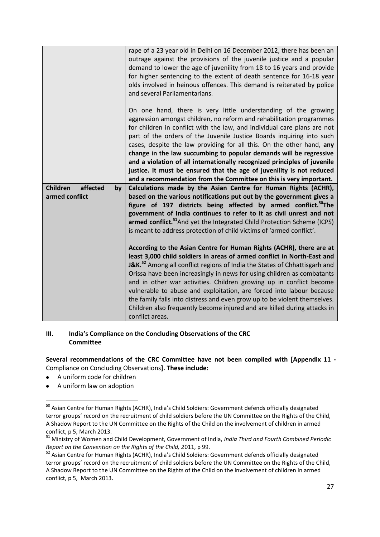|                                   | rape of a 23 year old in Delhi on 16 December 2012, there has been an<br>outrage against the provisions of the juvenile justice and a popular<br>demand to lower the age of juvenility from 18 to 16 years and provide<br>for higher sentencing to the extent of death sentence for 16-18 year<br>olds involved in heinous offences. This demand is reiterated by police<br>and several Parliamentarians.                                                                                                                                                                                                                                                             |
|-----------------------------------|-----------------------------------------------------------------------------------------------------------------------------------------------------------------------------------------------------------------------------------------------------------------------------------------------------------------------------------------------------------------------------------------------------------------------------------------------------------------------------------------------------------------------------------------------------------------------------------------------------------------------------------------------------------------------|
|                                   | On one hand, there is very little understanding of the growing<br>aggression amongst children, no reform and rehabilitation programmes<br>for children in conflict with the law, and individual care plans are not<br>part of the orders of the Juvenile Justice Boards inquiring into such<br>cases, despite the law providing for all this. On the other hand, any<br>change in the law succumbing to popular demands will be regressive<br>and a violation of all internationally recognized principles of juvenile<br>justice. It must be ensured that the age of juvenility is not reduced<br>and a recommendation from the Committee on this is very important. |
| <b>Children</b><br>affected<br>by | Calculations made by the Asian Centre for Human Rights (ACHR),                                                                                                                                                                                                                                                                                                                                                                                                                                                                                                                                                                                                        |
| armed conflict                    | based on the various notifications put out by the government gives a                                                                                                                                                                                                                                                                                                                                                                                                                                                                                                                                                                                                  |
|                                   | figure of 197 districts being affected by armed conflict. <sup>50</sup> The                                                                                                                                                                                                                                                                                                                                                                                                                                                                                                                                                                                           |
|                                   | government of India continues to refer to it as civil unrest and not                                                                                                                                                                                                                                                                                                                                                                                                                                                                                                                                                                                                  |
|                                   | armed conflict. <sup>51</sup> And yet the Integrated Child Protection Scheme (ICPS)                                                                                                                                                                                                                                                                                                                                                                                                                                                                                                                                                                                   |
|                                   | is meant to address protection of child victims of 'armed conflict'.                                                                                                                                                                                                                                                                                                                                                                                                                                                                                                                                                                                                  |
|                                   |                                                                                                                                                                                                                                                                                                                                                                                                                                                                                                                                                                                                                                                                       |
|                                   | According to the Asian Centre for Human Rights (ACHR), there are at<br>least 3,000 child soldiers in areas of armed conflict in North-East and                                                                                                                                                                                                                                                                                                                                                                                                                                                                                                                        |
|                                   | <b>J&amp;K.</b> <sup>52</sup> Among all conflict regions of India the States of Chhattisgarh and<br>Orissa have been increasingly in news for using children as combatants                                                                                                                                                                                                                                                                                                                                                                                                                                                                                            |
|                                   | and in other war activities. Children growing up in conflict become                                                                                                                                                                                                                                                                                                                                                                                                                                                                                                                                                                                                   |
|                                   | vulnerable to abuse and exploitation, are forced into labour because                                                                                                                                                                                                                                                                                                                                                                                                                                                                                                                                                                                                  |
|                                   | the family falls into distress and even grow up to be violent themselves.                                                                                                                                                                                                                                                                                                                                                                                                                                                                                                                                                                                             |
|                                   | Children also frequently become injured and are killed during attacks in                                                                                                                                                                                                                                                                                                                                                                                                                                                                                                                                                                                              |
|                                   | conflict areas.                                                                                                                                                                                                                                                                                                                                                                                                                                                                                                                                                                                                                                                       |

#### **III. India's Compliance on the Concluding Observations of the CRC Committee**

**Several recommendations of the CRC Committee have not been complied with [Appendix 11 -** Compliance on Concluding Observations**]. These include:**

- A uniform code for children  $\bullet$
- A uniform law on adoption  $\bullet$

<sup>&</sup>lt;sup>50</sup> Asian Centre for Human Rights (ACHR), India's Child Soldiers: Government defends officially designated terror groups' record on the recruitment of child soldiers before the UN Committee on the Rights of the Child, A Shadow Report to the UN Committee on the Rights of the Child on the involvement of children in armed conflict, p 5, March 2013.

<sup>51</sup> Ministry of Women and Child Development, Government of India, *India Third and Fourth Combined Periodic Report on the Convention on the Rights of the Child, 2*011, p 99.

<sup>52</sup> Asian Centre for Human Rights (ACHR), India's Child Soldiers: Government defends officially designated terror groups' record on the recruitment of child soldiers before the UN Committee on the Rights of the Child, A Shadow Report to the UN Committee on the Rights of the Child on the involvement of children in armed conflict, p 5, March 2013.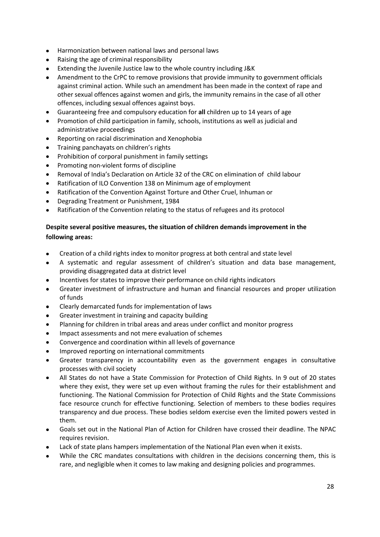- Harmonization between national laws and personal laws
- Raising the age of criminal responsibility
- Extending the Juvenile Justice law to the whole country including J&K
- Amendment to the CrPC to remove provisions that provide immunity to government officials against criminal action. While such an amendment has been made in the context of rape and other sexual offences against women and girls, the immunity remains in the case of all other offences, including sexual offences against boys.
- Guaranteeing free and compulsory education for **all** children up to 14 years of age  $\bullet$
- Promotion of child participation in family, schools, institutions as well as judicial and administrative proceedings
- Reporting on racial discrimination and Xenophobia
- Training panchayats on children's rights  $\bullet$
- Prohibition of corporal punishment in family settings
- Promoting non-violent forms of discipline
- Removal of India's Declaration on Article 32 of the CRC on elimination of child labour
- Ratification of ILO Convention 138 on Minimum age of employment
- Ratification of the Convention Against Torture and Other Cruel, Inhuman or
- Degrading Treatment or Punishment, 1984
- Ratification of the Convention relating to the status of refugees and its protocol

## **Despite several positive measures, the situation of children demands improvement in the following areas:**

- Creation of a child rights index to monitor progress at both central and state level
- A systematic and regular assessment of children's situation and data base management,  $\bullet$ providing disaggregated data at district level
- Incentives for states to improve their performance on child rights indicators
- Greater investment of infrastructure and human and financial resources and proper utilization of funds
- Clearly demarcated funds for implementation of laws
- Greater investment in training and capacity building
- Planning for children in tribal areas and areas under conflict and monitor progress
- Impact assessments and not mere evaluation of schemes
- Convergence and coordination within all levels of governance
- Improved reporting on international commitments
- Greater transparency in accountability even as the government engages in consultative processes with civil society
- All States do not have a State Commission for Protection of Child Rights. In 9 out of 20 states where they exist, they were set up even without framing the rules for their establishment and functioning. The National Commission for Protection of Child Rights and the State Commissions face resource crunch for effective functioning. Selection of members to these bodies requires transparency and due process. These bodies seldom exercise even the limited powers vested in them.
- Goals set out in the National Plan of Action for Children have crossed their deadline. The NPAC requires revision.
- Lack of state plans hampers implementation of the National Plan even when it exists.
- While the CRC mandates consultations with children in the decisions concerning them, this is rare, and negligible when it comes to law making and designing policies and programmes.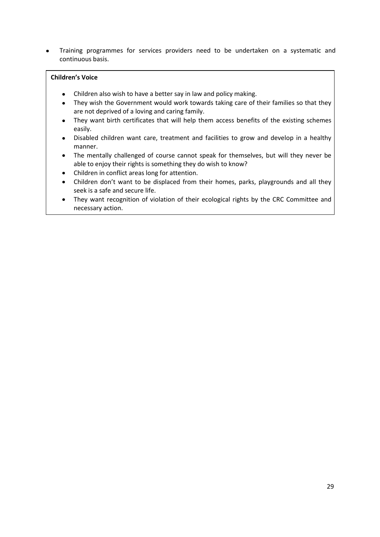Training programmes for services providers need to be undertaken on a systematic and  $\bullet$ continuous basis.

#### **Children's Voice**

- Children also wish to have a better say in law and policy making.
- They wish the Government would work towards taking care of their families so that they are not deprived of a loving and caring family.
- They want birth certificates that will help them access benefits of the existing schemes easily.
- Disabled children want care, treatment and facilities to grow and develop in a healthy manner.
- The mentally challenged of course cannot speak for themselves, but will they never be able to enjoy their rights is something they do wish to know?
- Children in conflict areas long for attention.  $\bullet$
- Children don't want to be displaced from their homes, parks, playgrounds and all they seek is a safe and secure life.
- They want recognition of violation of their ecological rights by the CRC Committee and  $\bullet$ necessary action.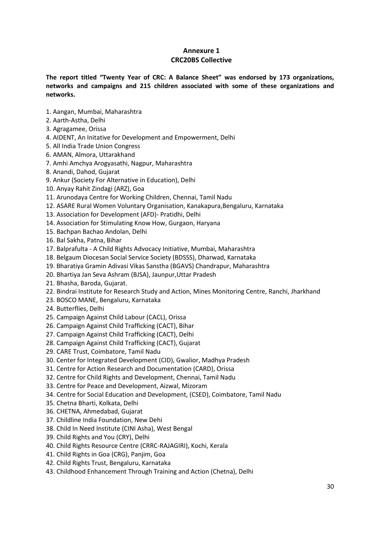### **Annexure 1 CRC20BS Collective**

**The report titled "Twenty Year of CRC: A Balance Sheet" was endorsed by 173 organizations, networks and campaigns and 215 children associated with some of these organizations and networks.** 

- 1. Aangan, Mumbai, Maharashtra
- 2. Aarth-Astha, Delhi
- 3. Agragamee, Orissa
- 4. AIDENT, An Initative for Development and Empowerment, Delhi
- 5. All India Trade Union Congress
- 6. AMAN, Almora, Uttarakhand
- 7. Amhi Amchya Arogyasathi, Nagpur, Maharashtra
- 8. Anandi, Dahod, Gujarat
- 9. Ankur (Society For Alternative in Education), Delhi
- 10. Anyay Rahit Zindagi (ARZ), Goa
- 11. Arunodaya Centre for Working Children, Chennai, Tamil Nadu
- 12. ASARE Rural Women Voluntary Organisation, Kanakapura,Bengaluru, Karnataka
- 13. Association for Development (AFD)- Pratidhi, Delhi
- 14. Association for Stimulating Know How, Gurgaon, Haryana
- 15. Bachpan Bachao Andolan, Delhi
- 16. Bal Sakha, Patna, Bihar
- 17. Balprafulta A Child Rights Advocacy Initiative, Mumbai, Maharashtra
- 18. Belgaum Diocesan Social Service Society (BDSSS), Dharwad, Karnataka
- 19. Bharatiya Gramin Adivasi Vikas Sanstha (BGAVS) Chandrapur, Maharashtra
- 20. Bhartiya Jan Seva Ashram (BJSA), Jaunpur,Uttar Pradesh
- 21. Bhasha, Baroda, Gujarat.
- 22. Bindrai Institute for Research Study and Action, Mines Monitoring Centre, Ranchi, Jharkhand
- 23. BOSCO MANE, Bengaluru, Karnataka
- 24. Butterflies, Delhi
- 25. Campaign Against Child Labour (CACL), Orissa
- 26. Campaign Against Child Trafficking (CACT), Bihar
- 27. Campaign Against Child Trafficking (CACT), Delhi
- 28. Campaign Against Child Trafficking (CACT), Gujarat
- 29. CARE Trust, Coimbatore, Tamil Nadu
- 30. Center for Integrated Development (CID), Gwalior, Madhya Pradesh
- 31. Centre for Action Research and Documentation (CARD), Orissa
- 32. Centre for Child Rights and Development, Chennai, Tamil Nadu
- 33. Centre for Peace and Development, Aizwal, Mizoram
- 34. Centre for Social Education and Development, (CSED), Coimbatore, Tamil Nadu
- 35. Chetna Bharti, Kolkata, Delhi
- 36. CHETNA, Ahmedabad, Gujarat
- 37. Childline India Foundation, New Dehi
- 38. Child In Need Institute (CINI Asha), West Bengal
- 39. Child Rights and You (CRY), Delhi
- 40. Child Rights Resource Centre (CRRC-RAJAGIRI), Kochi, Kerala
- 41. Child Rights in Goa (CRG), Panjim, Goa
- 42. Child Rights Trust, Bengaluru, Karnataka
- 43. Childhood Enhancement Through Training and Action (Chetna), Delhi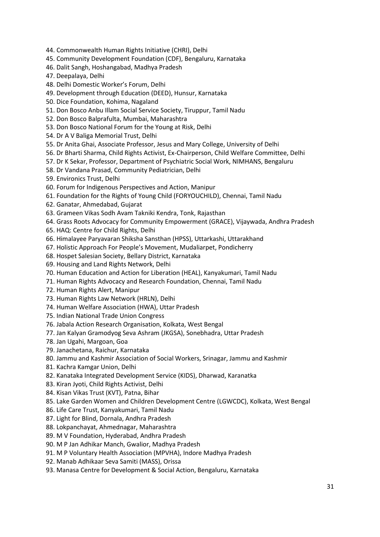- 44. Commonwealth Human Rights Initiative (CHRI), Delhi
- 45. Community Development Foundation (CDF), Bengaluru, Karnataka
- 46. Dalit Sangh, Hoshangabad, Madhya Pradesh
- 47. Deepalaya, Delhi
- 48. Delhi Domestic Worker's Forum, Delhi
- 49. Development through Education (DEED), Hunsur, Karnataka
- 50. Dice Foundation, Kohima, Nagaland
- 51. Don Bosco Anbu Illam Social Service Society, Tiruppur, Tamil Nadu
- 52. Don Bosco Balprafulta, Mumbai, Maharashtra
- 53. Don Bosco National Forum for the Young at Risk, Delhi
- 54. Dr A V Baliga Memorial Trust, Delhi
- 55. Dr Anita Ghai, Associate Professor, Jesus and Mary College, University of Delhi
- 56. Dr Bharti Sharma, Child Rights Activist, Ex-Chairperson, Child Welfare Committee, Delhi
- 57. Dr K Sekar, Professor, Department of Psychiatric Social Work, NIMHANS, Bengaluru
- 58. Dr Vandana Prasad, Community Pediatrician, Delhi
- 59. Environics Trust, Delhi
- 60. Forum for Indigenous Perspectives and Action, Manipur
- 61. Foundation for the Rights of Young Child (FORYOUCHILD), Chennai, Tamil Nadu
- 62. Ganatar, Ahmedabad, Gujarat
- 63. Grameen Vikas Sodh Avam Takniki Kendra, Tonk, Rajasthan
- 64. Grass Roots Advocacy for Community Empowerment (GRACE), Vijaywada, Andhra Pradesh
- 65. HAQ: Centre for Child Rights, Delhi
- 66. Himalayee Paryavaran Shiksha Sansthan (HPSS), Uttarkashi, Uttarakhand
- 67. Holistic Approach For People's Movement, Mudaliarpet, Pondicherry
- 68. Hospet Salesian Society, Bellary District, Karnataka
- 69. Housing and Land Rights Network, Delhi
- 70. Human Education and Action for Liberation (HEAL), Kanyakumari, Tamil Nadu
- 71. Human Rights Advocacy and Research Foundation, Chennai, Tamil Nadu
- 72. Human Rights Alert, Manipur
- 73. Human Rights Law Network (HRLN), Delhi
- 74. Human Welfare Association (HWA), Uttar Pradesh
- 75. Indian National Trade Union Congress
- 76. Jabala Action Research Organisation, Kolkata, West Bengal
- 77. Jan Kalyan Gramodyog Seva Ashram (JKGSA), Sonebhadra, Uttar Pradesh
- 78. Jan Ugahi, Margoan, Goa
- 79. Janachetana, Raichur, Karnataka
- 80. Jammu and Kashmir Association of Social Workers, Srinagar, Jammu and Kashmir
- 81. Kachra Kamgar Union, Delhi
- 82. Kanataka Integrated Development Service (KIDS), Dharwad, Karanatka
- 83. Kiran Jyoti, Child Rights Activist, Delhi
- 84. Kisan Vikas Trust (KVT), Patna, Bihar
- 85. Lake Garden Women and Children Development Centre (LGWCDC), Kolkata, West Bengal
- 86. Life Care Trust, Kanyakumari, Tamil Nadu
- 87. Light for Blind, Dornala, Andhra Pradesh
- 88. Lokpanchayat, Ahmednagar, Maharashtra
- 89. M V Foundation, Hyderabad, Andhra Pradesh
- 90. M P Jan Adhikar Manch, Gwalior, Madhya Pradesh
- 91. M P Voluntary Health Association (MPVHA), Indore Madhya Pradesh
- 92. Manab Adhikaar Seva Samiti (MASS), Orissa
- 93. Manasa Centre for Development & Social Action, Bengaluru, Karnataka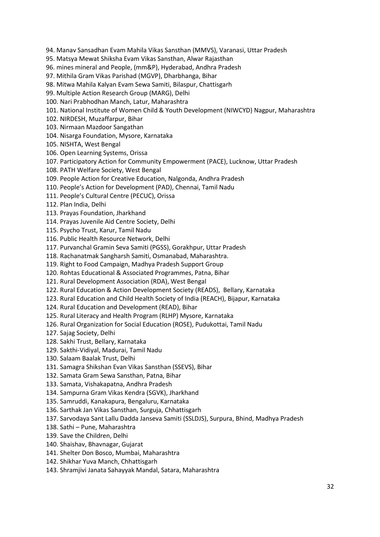94. Manav Sansadhan Evam Mahila Vikas Sansthan (MMVS), Varanasi, Uttar Pradesh

95. Matsya Mewat Shiksha Evam Vikas Sansthan, Alwar Rajasthan

96. mines mineral and People, (mm&P), Hyderabad, Andhra Pradesh

97. Mithila Gram Vikas Parishad (MGVP), Dharbhanga, Bihar

98. Mitwa Mahila Kalyan Evam Sewa Samiti, Bilaspur, Chattisgarh

99. Multiple Action Research Group (MARG), Delhi

100. Nari Prabhodhan Manch, Latur, Maharashtra

101. National Institute of Women Child & Youth Development (NIWCYD) Nagpur, Maharashtra

102. NIRDESH, Muzaffarpur, Bihar

103. Nirmaan Mazdoor Sangathan

104. Nisarga Foundation, Mysore, Karnataka

105. NISHTA, West Bengal

106. Open Learning Systems, Orissa

107. Participatory Action for Community Empowerment (PACE), Lucknow, Uttar Pradesh

108. PATH Welfare Society, West Bengal

109. People Action for Creative Education, Nalgonda, Andhra Pradesh

110. People's Action for Development (PAD), Chennai, Tamil Nadu

111. People's Cultural Centre (PECUC), Orissa

112. Plan India, Delhi

113. Prayas Foundation, Jharkhand

114. Prayas Juvenile Aid Centre Society, Delhi

115. Psycho Trust, Karur, Tamil Nadu

116. Public Health Resource Network, Delhi

117. Purvanchal Gramin Seva Samiti (PGSS), Gorakhpur, Uttar Pradesh

118. Rachanatmak Sangharsh Samiti, Osmanabad, Maharashtra.

119. Right to Food Campaign, Madhya Pradesh Support Group

120. Rohtas Educational & Associated Programmes, Patna, Bihar

121. Rural Development Association (RDA), West Bengal

122. Rural Education & Action Development Society (READS), Bellary, Karnataka

123. Rural Education and Child Health Society of India (REACH), Bijapur, Karnataka

124. Rural Education and Development (READ), Bihar

125. Rural Literacy and Health Program (RLHP) Mysore, Karnataka

126. Rural Organization for Social Education (ROSE), Pudukottai, Tamil Nadu

127. Sajag Society, Delhi

128. Sakhi Trust, Bellary, Karnataka

129. Sakthi-Vidiyal, Madurai, Tamil Nadu

130. Salaam Baalak Trust, Delhi

131. Samagra Shikshan Evan Vikas Sansthan (SSEVS), Bihar

132. Samata Gram Sewa Sansthan, Patna, Bihar

133. Samata, Vishakapatna, Andhra Pradesh

134. Sampurna Gram Vikas Kendra (SGVK), Jharkhand

135. Samruddi, Kanakapura, Bengaluru, Karnataka

136. Sarthak Jan Vikas Sansthan, Surguja, Chhattisgarh

137. Sarvodaya Sant Lallu Dadda Janseva Samiti (SSLDJS), Surpura, Bhind, Madhya Pradesh

138. Sathi – Pune, Maharashtra

139. Save the Children, Delhi

140. Shaishav, Bhavnagar, Gujarat

141. Shelter Don Bosco, Mumbai, Maharashtra

142. Shikhar Yuva Manch, Chhattisgarh

143. Shramjivi Janata Sahayyak Mandal, Satara, Maharashtra